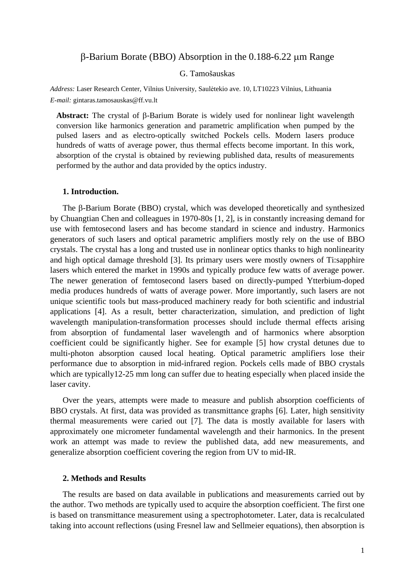# $\beta$ -Barium Borate (BBO) Absorption in the 0.188-6.22 µm Range

## G. Tamošauskas

*Address:* Laser Research Center, Vilnius University, Saulėtekio ave. 10, LT10223 Vilnius, Lithuania *E-mail:* gintaras.tamosauskas@ff.vu.lt

**Abstract:** The crystal of  $\beta$ -Barium Borate is widely used for nonlinear light wavelength conversion like harmonics generation and parametric amplification when pumped by the pulsed lasers and as electro-optically switched Pockels cells. Modern lasers produce hundreds of watts of average power, thus thermal effects become important. In this work, absorption of the crystal is obtained by reviewing published data, results of measurements performed by the author and data provided by the optics industry.

### **1. Introduction.**

The  $\beta$ -Barium Borate (BBO) crystal, which was developed theoretically and synthesized by Chuangtian Chen and colleagues in 1970-80s [1, 2], is in constantly increasing demand for use with femtosecond lasers and has become standard in science and industry. Harmonics generators of such lasers and optical parametric amplifiers mostly rely on the use of BBO crystals. The crystal has a long and trusted use in nonlinear optics thanks to high nonlinearity and high optical damage threshold [3]. Its primary users were mostly owners of Ti:sapphire lasers which entered the market in 1990s and typically produce few watts of average power. The newer generation of femtosecond lasers based on directly-pumped Ytterbium-doped media produces hundreds of watts of average power. More importantly, such lasers are not unique scientific tools but mass-produced machinery ready for both scientific and industrial applications [4]. As a result, better characterization, simulation, and prediction of light wavelength manipulation-transformation processes should include thermal effects arising from absorption of fundamental laser wavelength and of harmonics where absorption coefficient could be significantly higher. See for example [5] how crystal detunes due to multi-photon absorption caused local heating. Optical parametric amplifiers lose their performance due to absorption in mid-infrared region. Pockels cells made of BBO crystals which are typically 12-25 mm long can suffer due to heating especially when placed inside the laser cavity.

Over the years, attempts were made to measure and publish absorption coefficients of BBO crystals. At first, data was provided as transmittance graphs [6]. Later, high sensitivity thermal measurements were caried out [7]. The data is mostly available for lasers with approximately one micrometer fundamental wavelength and their harmonics. In the present work an attempt was made to review the published data, add new measurements, and generalize absorption coefficient covering the region from UV to mid-IR.

## **2. Methods and Results**

The results are based on data available in publications and measurements carried out by the author. Two methods are typically used to acquire the absorption coefficient. The first one is based on transmittance measurement using a spectrophotometer. Later, data is recalculated taking into account reflections (using Fresnel law and Sellmeier equations), then absorption is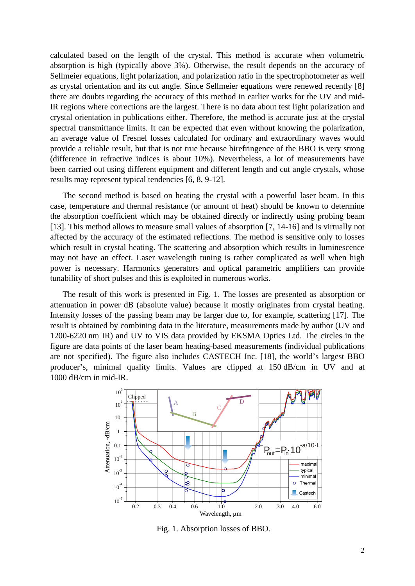calculated based on the length of the crystal. This method is accurate when volumetric absorption is high (typically above 3%). Otherwise, the result depends on the accuracy of Sellmeier equations, light polarization, and polarization ratio in the spectrophotometer as well as crystal orientation and its cut angle. Since Sellmeier equations were renewed recently [8] there are doubts regarding the accuracy of this method in earlier works for the UV and mid-IR regions where corrections are the largest. There is no data about test light polarization and crystal orientation in publications either. Therefore, the method is accurate just at the crystal spectral transmittance limits. It can be expected that even without knowing the polarization, an average value of Fresnel losses calculated for ordinary and extraordinary waves would provide a reliable result, but that is not true because birefringence of the BBO is very strong (difference in refractive indices is about 10%). Nevertheless, a lot of measurements have been carried out using different equipment and different length and cut angle crystals, whose results may represent typical tendencies [6, 8, 9-12].

The second method is based on heating the crystal with a powerful laser beam. In this case, temperature and thermal resistance (or amount of heat) should be known to determine the absorption coefficient which may be obtained directly or indirectly using probing beam [13]. This method allows to measure small values of absorption [7, 14-16] and is virtually not affected by the accuracy of the estimated reflections. The method is sensitive only to losses which result in crystal heating. The scattering and absorption which results in luminescence may not have an effect. Laser wavelength tuning is rather complicated as well when high power is necessary. Harmonics generators and optical parametric amplifiers can provide tunability of short pulses and this is exploited in numerous works.

The result of this work is presented in Fig. 1. The losses are presented as absorption or attenuation in power dB (absolute value) because it mostly originates from crystal heating. Intensity losses of the passing beam may be larger due to, for example, scattering [17]. The result is obtained by combining data in the literature, measurements made by author (UV and 1200-6220 nm IR) and UV to VIS data provided by EKSMA Optics Ltd. The circles in the figure are data points of the laser beam heating-based measurements (individual publications are not specified). The figure also includes CASTECH Inc. [18], the world's largest BBO producer's, minimal quality limits. Values are clipped at 150 dB/cm in UV and at 1000 dB/cm in mid-IR.



Fig. 1. Absorption losses of BBO.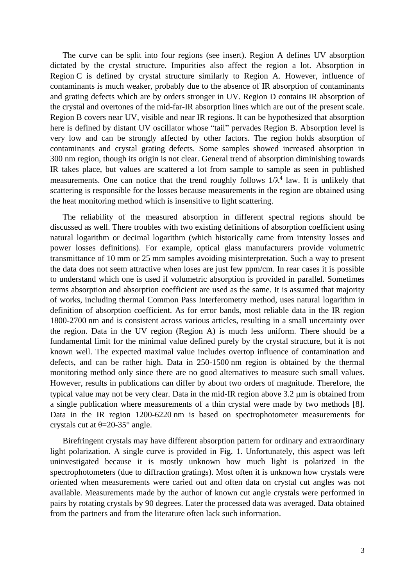The curve can be split into four regions (see insert). Region A defines UV absorption dictated by the crystal structure. Impurities also affect the region a lot. Absorption in Region C is defined by crystal structure similarly to Region A. However, influence of contaminants is much weaker, probably due to the absence of IR absorption of contaminants and grating defects which are by orders stronger in UV. Region D contains IR absorption of the crystal and overtones of the mid-far-IR absorption lines which are out of the present scale. Region B covers near UV, visible and near IR regions. It can be hypothesized that absorption here is defined by distant UV oscillator whose "tail" pervades Region B. Absorption level is very low and can be strongly affected by other factors. The region holds absorption of contaminants and crystal grating defects. Some samples showed increased absorption in 300 nm region, though its origin is not clear. General trend of absorption diminishing towards IR takes place, but values are scattered a lot from sample to sample as seen in published measurements. One can notice that the trend roughly follows  $1/\lambda^4$  law. It is unlikely that scattering is responsible for the losses because measurements in the region are obtained using the heat monitoring method which is insensitive to light scattering.

The reliability of the measured absorption in different spectral regions should be discussed as well. There troubles with two existing definitions of absorption coefficient using natural logarithm or decimal logarithm (which historically came from intensity losses and power losses definitions). For example, optical glass manufacturers provide volumetric transmittance of 10 mm or 25 mm samples avoiding misinterpretation. Such a way to present the data does not seem attractive when loses are just few ppm/cm. In rear cases it is possible to understand which one is used if volumetric absorption is provided in parallel. Sometimes terms absorption and absorption coefficient are used as the same. It is assumed that majority of works, including thermal Common Pass Interferometry method, uses natural logarithm in definition of absorption coefficient. As for error bands, most reliable data in the IR region 1800-2700 nm and is consistent across various articles, resulting in a small uncertainty over the region. Data in the UV region (Region A) is much less uniform. There should be a fundamental limit for the minimal value defined purely by the crystal structure, but it is not known well. The expected maximal value includes overtop influence of contamination and defects, and can be rather high. Data in 250-1500 nm region is obtained by the thermal monitoring method only since there are no good alternatives to measure such small values. However, results in publications can differ by about two orders of magnitude. Therefore, the typical value may not be very clear. Data in the mid-IR region above 3.2  $\mu$ m is obtained from a single publication where measurements of a thin crystal were made by two methods [8]. Data in the IR region 1200-6220 nm is based on spectrophotometer measurements for crystals cut at  $\theta$ =20-35° angle.

Birefringent crystals may have different absorption pattern for ordinary and extraordinary light polarization. A single curve is provided in Fig. 1. Unfortunately, this aspect was left uninvestigated because it is mostly unknown how much light is polarized in the spectrophotometers (due to diffraction gratings). Most often it is unknown how crystals were oriented when measurements were caried out and often data on crystal cut angles was not available. Measurements made by the author of known cut angle crystals were performed in pairs by rotating crystals by 90 degrees. Later the processed data was averaged. Data obtained from the partners and from the literature often lack such information.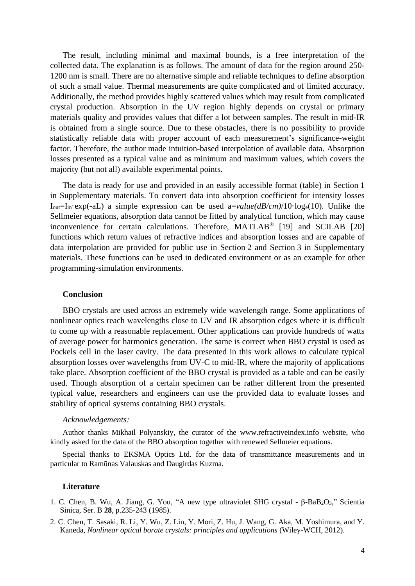The result, including minimal and maximal bounds, is a free interpretation of the collected data. The explanation is as follows. The amount of data for the region around 250- 1200 nm is small. There are no alternative simple and reliable techniques to define absorption of such a small value. Thermal measurements are quite complicated and of limited accuracy. Additionally, the method provides highly scattered values which may result from complicated crystal production. Absorption in the UV region highly depends on crystal or primary materials quality and provides values that differ a lot between samples. The result in mid-IR is obtained from a single source. Due to these obstacles, there is no possibility to provide statistically reliable data with proper account of each measurement's significance-weight factor. Therefore, the author made intuition-based interpolation of available data. Absorption losses presented as a typical value and as minimum and maximum values, which covers the majority (but not all) available experimental points.

The data is ready for use and provided in an easily accessible format (table) in Section 1 in Supplementary materials. To convert data into absorption coefficient for intensity losses  $I_{out}=I_{in}$ ·exp(-aL) a simple expression can be used a=*value(dB/cm)*/10·log<sub>e</sub>(10). Unlike the Sellmeier equations, absorption data cannot be fitted by analytical function, which may cause inconvenience for certain calculations. Therefore, MATLAB<sup>®</sup> [19] and SCILAB [20] functions which return values of refractive indices and absorption losses and are capable of data interpolation are provided for public use in Section 2 and Section 3 in Supplementary materials. These functions can be used in dedicated environment or as an example for other programming-simulation environments.

## **Conclusion**

BBO crystals are used across an extremely wide wavelength range. Some applications of nonlinear optics reach wavelengths close to UV and IR absorption edges where it is difficult to come up with a reasonable replacement. Other applications can provide hundreds of watts of average power for harmonics generation. The same is correct when BBO crystal is used as Pockels cell in the laser cavity. The data presented in this work allows to calculate typical absorption losses over wavelengths from UV-C to mid-IR, where the majority of applications take place. Absorption coefficient of the BBO crystal is provided as a table and can be easily used. Though absorption of a certain specimen can be rather different from the presented typical value, researchers and engineers can use the provided data to evaluate losses and stability of optical systems containing BBO crystals.

### *Acknowledgements:*

Author thanks Mikhail Polyanskiy, the curator of the www.refractiveindex.info website, who kindly asked for the data of the BBO absorption together with renewed Sellmeier equations.

Special thanks to EKSMA Optics Ltd. for the data of transmittance measurements and in particular to Ramūnas Valauskas and Daugirdas Kuzma.

## **Literature**

- 1. C. Chen, B. Wu, A. Jiang, G. You, "A new type ultraviolet SHG crystal  $\beta$ -BaB<sub>2</sub>O<sub>3</sub>," Scientia Sinica, Ser. B **28**, p.235-243 (1985).
- 2. C. Chen, T. Sasaki, R. Li, Y. Wu, Z. Lin, Y. Mori, Z. Hu, J. Wang, G. Aka, M. Yoshimura, and Y. Kaneda, *Nonlinear optical borate crystals: principles and applications* (Wiley-WCH, 2012).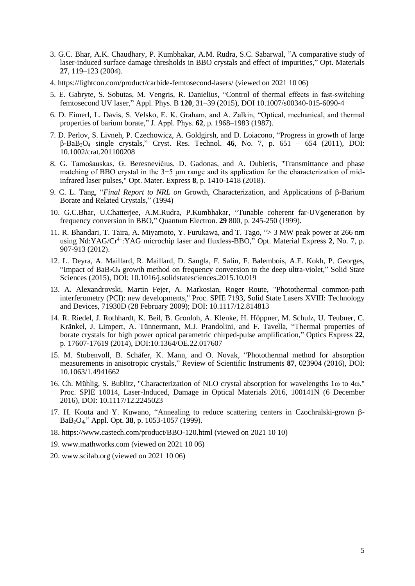- 3. G.C. Bhar, A.K. Chaudhary, P. Kumbhakar, A.M. Rudra, S.C. Sabarwal, "A comparative study of laser-induced surface damage thresholds in BBO crystals and effect of impurities," Opt. Materials **27**, 119–123 (2004).
- 4. https://lightcon.com/product/carbide-femtosecond-lasers/ (viewed on 2021 10 06)
- 5. E. Gabryte, S. Sobutas, M. Vengris, R. Danielius, "Control of thermal effects in fast-switching femtosecond UV laser," Appl. Phys. B **120**, 31–39 (2015), DOI 10.1007/s00340-015-6090-4
- 6. D. Eimerl, L. Davis, S. Velsko, E. K. Graham, and A. Zalkin, "Optical, mechanical, and thermal properties of barium borate," J. Appl. Phys. **62**, p. 1968–1983 (1987).
- 7. D. Perlov, S. Livneh, P. Czechowicz, A. Goldgirsh, and D. Loiacono, "Progress in growth of large β-BaB2O<sup>4</sup> single crystals," Cryst. Res. Technol. **46**, No. 7, p. 651 – 654 (2011), DOI: 10.1002/crat.201100208
- 8. G. Tamošauskas, G. Beresnevičius, D. Gadonas, and A. Dubietis, "Transmittance and phase matching of BBO crystal in the 3−5 μm range and its application for the characterization of midinfrared laser pulses," Opt. Mater. Express **8**, p. 1410-1418 (2018).
- 9. C. L. Tang, "*Final Report to NRL on* Growth, Characterization, and Applications of β-Barium Borate and Related Crystals," (1994)
- 10. G.C.Bhar, U.Chatterjee, A.M.Rudra, P.Kumbhakar, "Tunable coherent far-UVgeneration by frequency conversion in BBO," Quantum Electron. **29** 800, p. 245-250 (1999).
- 11. R. Bhandari, T. Taira, A. Miyamoto, Y. Furukawa, and T. Tago, "> 3 MW peak power at 266 nm using Nd:YAG/Cr<sup>4+</sup>:YAG microchip laser and fluxless-BBO," Opt. Material Express 2, No. 7, p. 907-913 (2012).
- 12. L. Deyra, A. Maillard, R. Maillard, D. Sangla, F. Salin, F. Balembois, A.E. Kokh, P. Georges, "Impact of  $BaB<sub>2</sub>O<sub>4</sub>$  growth method on frequency conversion to the deep ultra-violet," Solid State Sciences (2015), DOI: 10.1016/j.solidstatesciences.2015.10.019
- 13. A. Alexandrovski, Martin Fejer, A. Markosian, Roger Route, "Photothermal common-path interferometry (PCI): new developments," Proc. SPIE 7193, Solid State Lasers XVIII: Technology and Devices, 71930D (28 February 2009); DOI: 10.1117/12.814813
- 14. R. Riedel, J. Rothhardt, K. Beil, B. Gronloh, A. Klenke, H. Höppner, M. Schulz, U. Teubner, C. Kränkel, J. Limpert, A. Tünnermann, M.J. Prandolini, and F. Tavella, "Thermal properties of borate crystals for high power optical parametric chirped-pulse amplification," Optics Express **22**, p. 17607-17619 (2014), DOI:10.1364/OE.22.017607
- 15. M. Stubenvoll, B. Schäfer, K. Mann, and O. Novak, "Photothermal method for absorption measurements in anisotropic crystals," Review of Scientific Instruments **87**, 023904 (2016), DOI: 10.1063/1.4941662
- 16. Ch. Mühlig, S. Bublitz, "Characterization of NLO crystal absorption for wavelengths 1 $\omega$  to 4 $\omega$ ," Proc. SPIE 10014, Laser-Induced, Damage in Optical Materials 2016, 100141N (6 December 2016), DOI: 10.1117/12.2245023
- 17. H. Kouta and Y. Kuwano, "Annealing to reduce scattering centers in Czochralski-grown  $\beta$ -BaB2O4," Appl. Opt. **38**, p. 1053-1057 (1999).
- 18. https://www.castech.com/product/BBO-120.html (viewed on 2021 10 10)
- 19. www.mathworks.com (viewed on 2021 10 06)
- 20. www.scilab.org (viewed on 2021 10 06)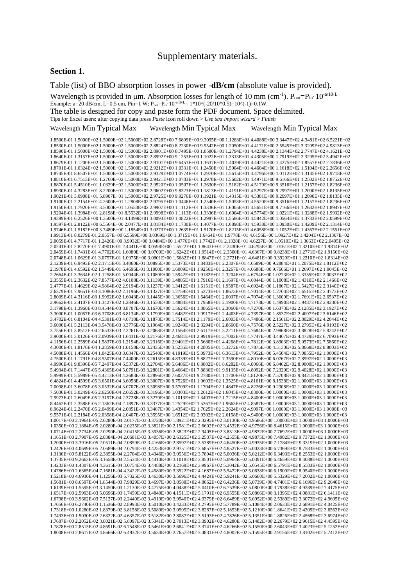## Supplementary materials.

#### **Section 1.**

Table (list) of BBO absorption losses in power -**dB/cm** (absolute value is provided).

Wavelength is provided in  $\mu$ m. Absorption losses for length of 10 mm (cm<sup>-1</sup>).  $P_{out}=P_{in} \cdot 10^{-\alpha/10 \cdot L}$ 

Example: a=20 dB/cm, L=0.5 cm, Pin=1 W;  $P_{out}=P_{in}$ ,  $10^{-a/10 \cdot L}$  = 1\*10^(-20/10\*0.5)=10^(-1)=0.1W.

The table is designed for copy and paste form the PDF document. Space delimited.

Tips for Excel users: after copying data press *Paste* icon roll down > *Use text import wizard* > *Finish*

Wavelength Min Typical Max Wavelength Min Typical Max Wavelength Min Typical Max

1.8500E-01 1.5000E+02 1.5000E+02 1.5000E+02 2.8728E+00 7.6809E+00 9.3095E+00 1.1283E+01 4.4088E+00 3.3447E+02 4.3481E+02 6.5221E+02 1.8530E-01 1.5000E+02 1.5000E+02 1.5000E+02 2.8824E+00 8.2230E+00 9.9542E+00 1.2050E+01 4.4171E+00 2.5545E+02 3.3209E+02 4.9813E+02 1.8590E-01 1.5000E+02 1.5000E+02 1.5000E+02 2.8901E+00 8.7495E+00 1.0580E+01 1.2794E+01 4.4238E+00 2.1344E+02 2.7747E+02 4.1621E+02 1.8640E-01 1.3157E+02 1.5000E+02 1.5000E+02 2.8992E+00 9.1253E+00 1.1022E+01 1.3313E+01 4.4305E+00 1.7919E+02 2.3295E+02 3.4942E+02 1.8679E-01 1.1200E+02 1.5000E+02 1.5000E+02 2.9101E+00 9.6453E+00 1.1637E+01 1.4039E+01 4.4421E+00 1.4275E+02 1.8557E+02 2.7836E+02 1.8701E-01 1.0324E+02 1.5000E+02 1.5000E+02 2.9212E+00 1.0331E+01 1.2450E+01 1.5004E+01 4.4604E+00 1.1618E+02 1.5104E+02 2.2656E+02 1.8745E-01 8.6507E+01 1.5000E+02 1.5000E+02 2.9329E+00 1.0774E+01 1.2970E+01 1.5615E+01 4.4796E+00 1.0112E+02 1.3145E+02 1.9718E+02 1.8810E-01 6.7513E+01 1.2760E+02 1.5000E+02 2.9421E+00 1.0783E+01 1.2970E+01 1.5602E+01 4.4971E+00 9.6166E+01 1.2502E+02 1.8752E+02 1.8870E-01 5.4510E+01 1.0329E+02 1.5000E+02 2.9520E+00 1.0507E+01 1.2630E+01 1.5182E+01 4.5179E+00 9.3516E+01 1.2157E+02 1.8236E+02 1.8930E-01 4.3283E+01 8.2200E+01 1.5000E+02 2.9602E+00 9.8323E+00 1.1813E+01 1.4191E+01 4.5297E+00 9.2997E+01 1.2090E+02 1.8135E+02 1.9021E-01 3.0908E+01 5.8907E+01 1.5000E+02 2.9725E+00 9.9276E+00 1.1921E+01 1.4315E+01 4.5381E+00 9.2997E+01 1.2090E+02 1.8135E+02 1.9100E-01 2.2154E+01 4.2600E+01 1.2808E+02 2.9795E+00 1.0446E+01 1.2540E+01 1.5053E+01 4.5520E+00 9.3516E+01 1.2157E+02 1.8236E+02 1.9150E-01 1.7920E+01 3.5000E+01 1.0553E+02 2.9907E+00 1.1112E+01 1.3336E+01 1.6005E+01 4.5651E+00 9.7166E+01 1.2632E+02 1.8947E+02 1.9204E-01 1.3984E+01 2.8198E+01 8.5532E+01 2.9998E+00 1.1113E+01 1.3336E+01 1.6004E+01 4.5774E+00 1.0221E+02 1.3288E+02 1.9932E+02 1.9399E-01 6.2526E+00 1.3500E+01 4.1499E+01 3.0093E+00 1.0822E+01 1.2987E+01 1.5586E+01 4.5842E+00 1.0564E+02 1.3733E+02 2.0599E+02 1.9597E-01 2.8122E+00 6.5564E+00 2.0477E+01 3.0184E+00 1.1730E+01 1.4077E+01 1.6898E+01 4.5938E+00 1.0930E+02 1.4209E+02 2.1314E+02 1.9746E-01 1.5182E+00 3.7480E+00 1.1854E+01 3.0273E+00 1.2639E+01 1.5170E+01 1.8215E+01 4.6058E+00 1.1052E+02 1.4367E+02 2.1551E+02 1.9913E-01 8.0279E-01 2.0557E+00 6.5599E+00 3.0369E+00 1.3715E+01 1.6464E+01 1.9778E+01 4.6156E+00 1.0927E+02 1.4204E+02 2.1307E+02 2.0059E-01 4.7717E-01 1.2426E+00 3.9932E+00 3.0484E+00 1.4776E+01 1.7742E+01 2.1328E+01 4.6227E+00 1.0510E+02 1.3663E+02 2.0495E+02 2.0241E-01 2.8270E-01 7.4901E-01 2.4441E+00 3.0598E+00 1.5522E+01 1.8643E+01 2.2430E+01 4.6295E+00 1.0161E+02 1.3210E+02 1.9814E+02 2.0459E-01 1.7431E-01 4.7702E-01 1.6080E+00 3.0709E+00 1.6242E+01 1.9514E+01 2.3500E+01 4.6367E+00 9.8238E+01 1.2771E+02 1.9156E+02 2.0748E-01 1.0629E-01 3.0757E-01 1.0975E+00 3.0801E+00 1.5682E+01 1.8847E+01 2.2721E+01 4.6481E+00 9.3920E+01 1.2210E+02 1.8314E+02 2.1239E-01 6.9493E-02 2.1715E-01 8.4060E-01 3.0895E+00 1.5373E+01 1.8483E+01 2.2307E+01 4.6589E+00 9.2884E+01 1.2075E+02 1.8112E+02 2.1978E-01 4.6592E-02 1.5449E-01 6.4696E-01 3.1000E+00 1.6009E+01 1.9256E+01 2.3267E+01 4.6688E+00 9.7666E+01 1.2697E+02 1.9045E+02 2.2664E-01 3.3634E-02 1.1258E-01 5.0944E-01 3.1080E+00 1.5942E+01 1.9182E+01 2.3204E+01 4.6754E+00 1.0273E+02 1.3355E+02 2.0033E+02 2.3555E-01 2.3632E-02 7.8577E-02 4.0108E-01 3.1139E+00 1.4885E+01 1.7916E+01 2.1697E+01 4.6844E+00 1.1008E+02 1.4310E+02 2.1466E+02 2.4777E-01 1.4629E-02 4.9864E-02 2.9194E-01 3.1237E+00 1.3412E+01 1.6151E+01 1.9587E+01 4.6924E+00 1.1867E+02 1.5427E+02 2.3140E+02 2.6379E-01 7.9651E-03 3.1086E-02 2.1196E-01 3.1327E+00 1.2759E+01 1.5373E+01 1.8673E+01 4.7014E+00 1.2704E+02 1.6515E+02 2.4773E+02 2.8009E-01 4.3116E-03 1.9992E-02 1.6043E-01 3.1445E+00 1.3656E+01 1.6464E+01 2.0037E+01 4.7074E+00 1.3609E+02 1.7691E+02 2.6537E+02 2.9662E-01 2.4107E-03 1.3427E-02 1.2846E-01 3.1550E+00 1.4884E+01 1.7958E+01 2.1900E+01 4.7178E+00 1.4990E+02 1.9487E+02 2.9230E+02 3.1798E-01 1.3960E-03 8.4544E-03 8.8707E-02 3.1670E+00 1.5624E+01 1.8865E+01 2.3060E+01 4.7270E+00 1.6373E+02 2.1285E+02 3.1927E+02 3.3000E-01 1.0057E-03 6.3708E-03 6.8134E-02 3.1790E+00 1.6482E+01 1.9917E+01 2.4403E+01 4.7397E+00 1.8537E+02 2.4097E+02 3.6146E+02 3.4702E-01 6.8104E-04 4.5391E-03 4.6718E-02 3.1878E+00 1.7514E+01 2.1179E+01 2.6003E+01 4.7486E+00 2.1561E+02 2.8029E+02 4.2044E+02 3.6000E-01 5.2113E-04 3.5478E-03 3.3776E-02 3.1964E+00 1.9249E+01 2.3294E+01 2.8660E+01 4.7576E+00 2.5227E+02 3.2795E+02 4.9193E+02 3.7556E-01 3.8512E-04 2.6533E-03 2.2261E-02 3.2068E+00 2.1564E+01 2.6117E+01 3.2211E+01 4.7684E+00 2.9868E+02 3.8828E+02 5.8242E+02 3.9000E-01 3.0126E-04 2.0939E-03 1.6431E-02 3.2176E+00 2.4681E+01 2.9919E+01 3.7002E+01 4.7747E+00 3.4407E+02 4.4729E+02 6.7093E+02 4.1156E-01 2.2589E-04 1.5837E-03 1.2194E-02 3.2316E+00 2.9401E+01 3.5680E+01 4.4268E+01 4.7812E+00 3.8903E+02 5.0573E+02 7.5860E+02 4.3000E-01 1.8176E-04 1.2859E-03 1.0158E-02 3.2435E+00 3.5235E+01 4.2805E+01 5.3272E+01 4.7875E+00 4.5130E+02 5.8668E+02 8.8003E+02 4.5088E-01 1.4566E-04 1.0425E-03 8.6347E-03 3.2540E+00 4.1919E+01 5.0973E+01 6.3613E+01 4.7952E+00 5.4504E+02 7.0855E+02 1.0000E+03 4.7500E-01 1.1791E-04 8.5507E-04 7.4400E-03 3.2615E+00 4.8339E+01 5.8827E+01 7.3590E+01 4.8010E+00 6.0767E+02 7.8997E+02 1.0000E+03 4.9996E-01 9.8396E-05 7.2497E-04 6.5372E-03 3.2704E+00 5.6486E+01 6.8802E+01 8.6282E+01 4.8066E+00 6.8462E+02 8.9000E+02 1.0000E+03 5.4934E-01 7.1447E-05 5.4365E-04 5.0791E-03 3.2801E+00 6.4664E+01 7.8836E+01 9.9135E+01 4.8092E+00 7.2329E+02 9.4028E+02 1.0000E+03 5.9999E-01 5.5989E-05 4.4213E-04 4.2683E-03 3.2896E+00 7.6027E+01 9.2780E+01 1.1700E+02 4.8120E+00 7.5708E+02 9.8421E+02 1.0000E+03 6.4824E-01 4.4599E-05 3.6501E-04 3.6058E-03 3.3007E+00 8.7526E+01 1.0693E+02 1.3525E+02 4.8161E+00 8.1538E+02 1.0000E+03 1.0000E+03 7.0098E-01 3.6078E-05 3.0532E-04 3.0707E-03 3.3098E+00 9.5709E+01 1.1704E+02 1.4847E+02 4.8226E+00 9.2308E+02 1.0000E+03 1.0000E+03 7.5036E-01 3.0249E-05 2.6250E-04 2.6652E-03 3.3196E+00 1.0303E+02 1.2612E+02 1.6045E+02 4.8300E+00 1.0000E+03 1.0000E+03 1.0000E+03 7.9973E-01 2.6049E-05 2.3197E-04 2.3728E-03 3.3279E+00 1.1013E+02 1.3493E+02 1.7215E+02 4.8400E+00 1.0000E+03 1.0000E+03 1.0000E+03 8.4462E-01 2.3588E-05 2.1362E-04 2.1897E-03 3.3377E+00 1.2529E+02 1.5367E+02 1.9663E+02 4.8587E+00 1.0000E+03 1.0000E+03 1.0000E+03 8.9624E-01 2.2470E-05 2.0499E-04 2.0851E-03 3.3467E+00 1.4354E+02 1.7625E+02 2.2624E+02 4.9097E+00 1.0000E+03 1.0000E+03 1.0000E+03 9.5571E-01 2.2184E-05 2.0358E-04 2.0407E-03 3.3595E+00 1.6512E+02 2.0302E+02 2.6158E+02 4.9400E+00 1.0000E+03 1.0000E+03 1.0000E+03 1.0017E+00 2.1964E-05 2.0280E-04 2.0177E-03 3.3720E+00 1.8921E+02 2.3295E+02 3.0130E+02 4.9586E+00 1.0000E+03 1.0000E+03 1.0000E+03 1.0350E+00 2.1884E-05 2.0280E-04 2.0235E-03 3.3821E+00 2.1581E+02 2.6602E+02 3.4532E+02 4.9756E+00 8.4615E+02 1.0000E+03 1.0000E+03 1.0714E+00 2.2734E-05 2.0290E-04 2.0415E-03 3.3936E+00 2.3823E+02 2.9405E+02 3.8313E+02 4.9832E+00 7.7692E+02 1.0000E+03 1.0000E+03 1.1651E+00 2.7907E-05 2.0384E-04 2.0681E-03 3.4057E+00 2.6325E+02 3.2537E+02 4.2555E+02 4.9875E+00 7.4902E+02 9.7372E+02 1.0000E+03 1.2000E+00 3.3916E-05 2.0511E-04 2.0859E-03 3.4166E+00 2.8597E+02 3.5389E+02 4.6450E+02 4.9935E+00 7.1784E+02 9.3319E+02 1.0000E+03 1.2426E+00 4.0699E-05 2.0689E-04 2.0794E-03 3.4253E+00 2.9751E+02 3.6857E+02 4.8527E+02 5.0023E+00 6.7369E+02 8.7583E+02 1.0000E+03 1.3130E+00 5.8122E-05 2.3855E-04 2.2704E-03 3.4346E+00 3.0556E+02 3.7894E+02 5.0036E+02 5.0212E+00 6.3493E+02 8.2553E+02 1.0000E+03 1.3735E+00 9.2663E-05 3.1658E-04 2.5534E-03 3.4410E+00 3.1018E+02 3.8501E+02 5.0964E+02 5.0391E+00 6.4659E+02 8.4088E+02 1.0000E+03 1.4233E+00 1.4307E-04 4.3615E-04 3.0754E-03 3.4488E+00 3.2169E+02 3.9967E+02 5.3042E+02 5.0545E+00 6.5791E+02 8.5583E+02 1.0000E+03 1.4786E+00 2.6365E-04 7.1681E-04 4.3422E-03 3.4580E+00 3.3522E+02 4.1687E+02 5.5472E+02 5.0638E+00 6.1900E+02 8.0540E+02 1.0000E+03 1.5218E+00 4.6930E-04 1.1256E-03 5.7325E-03 3.4630E+00 3.5696E+02 4.4424E+02 5.9241E+02 5.0680E+00 5.5329E+02 7.2002E+02 1.0000E+03 1.5681E+00 8.6597E-04 1.8544E-03 7.9829E-03 3.4697E+00 3.8588E+02 4.8062E+02 6.4236E+02 5.0739E+00 4.7401E+02 6.1696E+02 9.2640E+02 1.6139E+00 1.5595E-03 3.1450E-03 1.2130E-02 3.4775E+00 4.0438E+02 5.0410E+02 6.7539E+02 5.0800E+00 3.7938E+02 4.9389E+02 7.4175E+02 1.6517E+00 2.5993E-03 5.0696E-03 1.7459E-02 3.4840E+00 4.1511E+02 5.1791E+02 6.9555E+02 5.0866E+00 3.1395E+02 4.0881E+02 6.1411E+02 1.6798E+00 3.9662E-03 7.5127E-03 2.2440E-02 3.4919E+00 3.9540E+02 4.9379E+02 6.6489E+02 5.0952E+00 2.5389E+02 3.3072E+02 4.9695E+02 1.7056E+00 6.2740E-03 1.1536E-02 2.8993E-02 3.5010E+00 3.4233E+02 4.2795E+02 5.7789E+02 5.1084E+00 2.0633E+02 2.6891E+02 4.0425E+02 1.7318E+00 1.0280E-02 1.8379E-02 3.8158E-02 3.5089E+00 3.0595E+02 3.8287E+02 5.1853E+02 5.1210E+00 1.8641E+02 2.4309E+02 3.6563E+02 1.7493E+00 1.5030E-02 2.6322E-02 4.6357E-02 3.5182E+00 2.8087E+02 3.5193E+02 4.7826E+02 5.1351E+00 1.8826E+02 2.4568E+02 3.6974E+02 1.7687E+00 2.2052E-02 3.8021E-02 5.8097E-02 3.5341E+00 2.7013E+02 3.3902E+02 4.6280E+02 5.1482E+00 2.2679E+02 2.9615E+02 4.4595E+02 1.7878E+00 2.8513E-02 4.8691E-02 6.7548E-02 3.5461E+00 2.6841E+02 3.3741E+02 4.6266E+02 5.1550E+00 2.6043E+02 3.4023E+02 5.1252E+02 1.8008E+00 2.8617E-02 4.8666E-02 6.4932E-02 3.5634E+00 2.7657E+02 3.4831E+02 4.8002E+02 5.1595E+00 2.9156E+02 3.8102E+02 5.7412E+02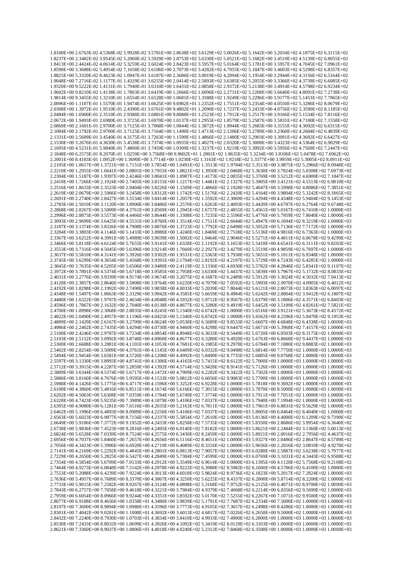1.8100E+00 2.6763E-02 4.5368E-02 5.9928E-02 3.5781E+00 2.8638E+02 3.6129E+02 5.0026E+02 5.1642E+00 3.2034E+02 4.1875E+02 6.3115E+02 1.8237E+00 2.3482E-02 3.9545E-02 5.2060E-02 3.5929E+00 2.8753E+02 3.6330E+02 5.0521E+02 5.1682E+00 3.4519E+02 4.5139E+02 6.8055E+02 1.8413E+00 2.4424E-02 4.0614E-02 5.3259E-02 3.6024E+00 2.8423E+02 3.5957E+02 5.0164E+02 5.1781E+00 3.5957E+02 4.7045E+02 7.0961E+02 1.8590E+00 3.3688E-02 5.4954E-02 7.1658E-02 3.6106E+00 2.7073E+02 3.4282E+02 4.7955E+02 5.1847E+00 3.4603E+02 4.5298E+02 6.8357E+02 1.8825E+00 5.3320E-02 8.4623E-02 1.0947E-01 3.6187E+00 2.3686E+02 3.0019E+02 4.2094E+02 5.1954E+00 3.2944E+02 4.3156E+02 6.5164E+02 1.9048E+00 7.2716E-02 1.1177E-01 1.4329E-01 3.6255E+00 2.0414E+02 2.5893E+02 3.6385E+02 5.2055E+00 3.3366E+02 4.3739E+02 6.6085E+02 1.9320E+00 9.5222E-02 1.4131E-01 1.7940E-01 3.6310E+00 1.6431E+02 2.0858E+02 2.9372E+02 5.2138E+00 3.4914E+02 4.5798E+02 6.9234E+02 1.9602E+00 9.8210E-02 1.4138E-01 1.7803E-01 3.6419E+00 1.2666E+02 1.6096E+02 2.2731E+02 5.2208E+00 3.6640E+02 4.8091E+02 7.2738E+02 1.9814E+00 9.3455E-02 1.3210E-01 1.6554E-01 3.6528E+00 1.0681E+02 1.3588E+02 1.9249E+02 5.2296E+00 3.9177E+02 5.1453E+02 7.7865E+02 2.0096E+00 1.1107E-01 1.5570E-01 1.9474E-01 3.6625E+00 9.6982E+01 1.2352E+02 1.7551E+02 5.2354E+00 4.0550E+02 5.3286E+02 8.0679E+02 2.0308E+00 1.3972E-01 1.9510E-01 2.4390E-01 3.6761E+00 9.4802E+01 1.2090E+02 1.7237E+02 5.2433E+00 4.0756E+02 5.3590E+02 8.1185E+02 2.0484E+00 1.6900E-01 2.3510E-01 2.9388E-01 3.6881E+00 9.8088E+01 1.2523E+02 1.7912E+02 5.2517E+00 3.9166E+02 5.1534E+02 7.8116E+02 2.0672E+00 1.9493E-01 2.6980E-01 3.3725E-01 3.6970E+00 1.0137E+02 1.2955E+02 1.8579E+02 5.2587E+00 3.5831E+02 4.7180E+02 7.1558E+02 2.0860E+00 2.1601E-01 2.9700E-01 3.7125E-01 3.7068E+00 1.0844E+02 1.3872E+02 1.9944E+02 5.2683E+00 3.3155E+02 4.3692E+02 6.6315E+02 2.1084E+00 2.1792E-01 2.9700E-01 3.7125E-01 3.7164E+00 1.1490E+02 1.4713E+02 2.1206E+02 5.2789E+00 3.2360E+02 4.2684E+02 6.4839E+02 2.1331E+00 2.5609E-01 3.4540E-01 4.3175E-01 3.7263E+00 1.1599E+02 1.4866E+02 2.1480E+02 5.2903E+00 3.3091E+02 4.3692E+02 6.6427E+02 2.1530E+00 3.2676E-01 4.3630E-01 5.4538E-01 3.7374E+00 1.0935E+02 1.4027E+02 2.0320E+02 5.3008E+00 3.4323E+02 4.5364E+02 6.9029E+02 2.1695E+00 4.5231E-01 5.9840E-01 7.4800E-01 3.7459E+00 1.0309E+02 1.3237E+02 1.9219E+02 5.3092E+00 3.5956E+02 4.7569E+02 7.2447E+02 2.1848E+00 6.2573E-01 8.2070E-01 1.0259E+00 3.7568E+00 9.9602E+01 1.2801E+02 1.8635E+02 5.3234E+00 3.8106E+02 5.0478E+02 7.6962E+02 2.2001E+00 8.4183E-01 1.0952E+00 1.3690E+00 3.7714E+00 1.0230E+02 1.3163E+02 1.9218E+02 5.3377E+00 3.9959E+02 5.3005E+02 8.0911E+02 2.2105E+00 1.0617E+00 1.3721E+00 1.7151E+00 3.7854E+00 1.0491E+02 1.3513E+02 1.9784E+02 5.3513E+00 3.9875E+02 5.2966E+02 8.0948E+02 2.2210E+00 1.2955E+00 1.6641E+00 2.0801E+00 3.7955E+00 1.0821E+02 1.3950E+02 2.0468E+02 5.3630E+00 3.7824E+02 5.0308E+02 7.6973E+02 2.2304E+00 1.5187E+00 1.9397E+00 2.4246E+00 3.8041E+00 1.0987E+02 1.4173E+02 2.0835E+02 5.3769E+00 3.5212E+02 4.6900E+02 7.1847E+02 2.2410E+00 1.7266E+00 2.1924E+00 2.7405E+00 3.8155E+00 1.1217E+02 1.4481E+02 2.1327E+02 5.3905E+00 3.4121E+02 4.5513E+02 6.9810E+02 2.2516E+00 1.8633E+00 2.3523E+00 2.9404E+00 3.8226E+00 1.1509E+02 1.4866E+02 2.1928E+02 5.4047E+00 3.5998E+02 4.8086E+02 7.3851E+02 2.2619E+00 2.0679E+00 2.5966E+00 3.2458E+00 3.8312E+00 1.1742E+02 1.5176E+02 2.2420E+02 5.4164E+00 3.9804E+02 5.3242E+02 8.1865E+02 2.2691E+00 2.2740E+00 2.8427E+00 3.5534E+00 3.8414E+00 1.2057E+02 1.5592E+02 2.3069E+02 5.4294E+00 4.4348E+02 5.9404E+02 9.1453E+02 2.2783E+00 2.5010E+00 3.1120E+00 3.8900E+00 3.8486E+00 1.2570E+02 1.6263E+02 2.4093E+02 5.4420E+00 4.6787E+02 6.2764E+02 9.6748E+02 2.2868E+00 2.8267E+00 3.5009E+00 4.3761E+00 3.8569E+00 1.2945E+02 1.6757E+02 2.4855E+02 5.4561E+00 5.0167E+02 6.7410E+02 1.0000E+03 2.2996E+00 2.8873E+00 3.5573E+00 4.4466E+00 3.8644E+00 1.3308E+02 1.7235E+02 2.5596E+02 5.4776E+00 5.7959E+02 7.8040E+02 1.0000E+03 2.3093E+00 2.9699E+00 3.6425E+00 4.5531E+00 3.8760E+00 1.3514E+02 1.7511E+02 2.6044E+02 5.4947E+00 6.1694E+02 8.3219E+02 1.0000E+03 2.3187E+00 3.1374E+00 3.8326E+00 4.7908E+00 3.8876E+00 1.3723E+02 1.7792E+02 2.6498E+02 5.5052E+00 5.7136E+02 7.7172E+02 1.0000E+03 2.3284E+00 3.3803E+00 4.1146E+00 5.1433E+00 3.8980E+00 1.4240E+02 1.8469E+02 2.7538E+02 5.5136E+00 4.9816E+02 6.7363E+02 1.0000E+03 2.3367E+00 3.6252E+00 4.3991E+00 5.4989E+00 3.9039E+00 1.5002E+02 1.9464E+02 2.9046E+02 5.5271E+00 4.4811E+02 6.0678E+02 9.4299E+02 2.3466E+00 3.8118E+00 4.6124E+00 5.7655E+00 3.9141E+00 1.6328E+02 2.1192E+02 3.1653E+02 5.5410E+00 4.6541E+02 6.3111E+02 9.8203E+02 2.3553E+00 3.7316E+00 4.5045E+00 5.6306E+00 3.9214E+00 1.7660E+02 2.2927E+02 3.4270E+02 5.5519E+00 4.9859E+02 6.7697E+02 1.0000E+03  $2.3637E+00$   $3.5810E+00$   $4.3141E+00$   $5.3926E+00$   $3.9302E+00$   $1.9531E+02$   $2.5363E+02$   $3.7938E+02$   $5.5651E+00$   $5.1011E+02$   $6.9348E+02$   $1.0000E+03$ 2.3745E+00 3.6299E+00 4.3654E+00 5.4568E+00 3.9391E+00 2.1704E+02 2.8192E+02 4.2197E+02 5.5729E+00 4.7243E+02 6.4285E+02 1.0000E+03 2.3845E+00 3.7635E+00 4.5205E+00 5.6506E+00 3.9480E+00 2.4119E+02 3.1336E+02 4.6930E+02 5.5782E+00 4.2846E+02 5.8341E+02 9.1107E+02 2.3972E+00 3.7801E+00 4.5374E+00 5.6718E+00 3.9585E+00 2.7958E+02 3.6330E+02 5.4437E+02 5.5839E+00 3.7967E+02 5.1732E+02 8.0833E+02 2.4031E+00 3.2776E+00 3.9339E+00 4.9174E+00 3.9674E+00 3.2075E+02 4.1687E+02 6.2489E+02 5.5912E+00 3.3024E+02 4.5032E+02 7.0413E+02 2.4120E+00 2.3857E+00 2.8646E+00 3.5808E+00 3.9764E+00 3.6220E+02 4.7079E+02 7.0592E+02 5.5993E+00 2.9970E+02 4.0905E+02 6.4012E+02 2.4192E+00 1.8298E+00 2.1992E+00 2.7490E+00 3.9838E+00 4.0033E+02 5.2039E+02 7.8044E+02 5.6121E+00 2.8073E+02 3.8363E+02 6.0097E+02 2.4348E+00 1.5497E+00 1.8663E+00 2.3329E+00 3.9942E+00 4.3585E+02 5.6659E+02 8.4984E+02 5.6242E+00 2.8804E+02 3.9412E+02 6.1807E+02  $2.4480E+00$  1.6322E+00 1.9707E+00 2.4634E+00 4.0048E+00 4.5932E+02 5.9712E+02 8.9567E+02 5.6379E+00 3.1806E+02 4.3571E+02 6.8403E+02 2.4596E+00 1.7867E+00 2.1632E+00 2.7040E+00 4.0138E+00 4.8677E+02 6.3280E+02 9.4919E+02 5.6452E+00 3.5199E+02 4.8261E+02 7.5821E+02 2.4700E+00 1.8998E+00 2.3068E+00 2.8835E+00 4.0245E+00 5.1340E+02 6.6742E+02 1.0000E+03 5.6516E+00 3.9121E+02 5.3673E+02 8.4372E+02 2.4822E+00 2.0490E+00 2.4957E+00 3.1196E+00 4.0425E+00 5.1340E+02 6.6742E+02 1.0000E+03 5.6562E+00 4.2596E+02 5.8470E+02 9.1953E+02 2.4889E+00 2.1429E+00 2.6167E+00 3.2709E+00 4.0624E+00 5.0530E+02 6.5689E+02 9.8533E+02 5.6607E+00 4.6848E+02 6.4338E+02 1.0000E+03 2.4986E+00 2.2402E+00 2.7435E+00 3.4294E+00 4.0730E+00 4.9460E+02 6.4298E+02 9.6447E+02 5.6671E+00 5.3968E+02 7.4157E+02 1.0000E+03 2.5100E+00 2.4246E+00 2.9787E+00 3.7234E+00 4.0854E+00 4.8948E+02 6.3633E+02 9.5449E+02 5.6720E+00 6.0503E+02 8.3175E+02 1.0000E+03 2.5193E+00 2.5152E+00 3.0992E+00 3.8740E+00 4.0960E+00 4.8677E+02 6.3280E+02 9.4920E+02 5.6763E+00 6.8668E+02 9.4437E+02 1.0000E+03 2.5300E+00 2.6608E+00 3.2881E+00 4.1101E+00 4.1053E+00 4.7681E+02 6.1985E+02 9.2978E+02 5.6784E+00 7.1880E+02 9.8883E+02 1.0000E+03 2.5402E+00 2.8254E+00 3.5009E+00 4.3761E+00 4.1145E+00 4.6409E+02 6.0332E+02 9.0498E+02 5.6814E+00 7.7750E+02 1.0000E+03 1.0000E+03 2.5494E+00 2.9454E+00 3.6581E+00 4.5726E+00 4.1208E+00 4.4992E+02 5.8490E+02 8.7735E+02 5.6885E+00 9.0768E+02 1.0000E+03 1.0000E+03 2.5597E+00 3.1330E+00 3.8993E+00 4.8741E+00 4.1306E+00 4.4165E+02 5.7415E+02 8.6122E+02 5.7000E+00 1.0000E+03 1.0000E+03 1.0000E+03 2.5712E+00 3.3915E+00 4.2287E+00 5.2859E+00 4.1392E+00 4.5714E+02 5.9428E+02 8.9141E+02 5.7126E+00 1.0000E+03 1.0000E+03 1.0000E+03 2.5809E+00 3.6344E+00 4.5374E+00 5.6717E+00 4.1472E+00 4.7909E+02 6.2282E+02 9.3422E+02 5.7502E+00 1.0000E+03 1.0000E+03 1.0000E+03 2.5886E+00 3.8160E+00 4.7676E+00 5.9595E+00 4.1533E+00 5.0812E+02 6.6056E+02 9.9083E+02 5.7700E+00 1.0000E+03 1.0000E+03 1.0000E+03 2.5988E+00 4.1426E+00 5.1775E+00 6.4717E+00 4.1596E+00 5.3252E+02 6.9228E+02 1.0000E+03 5.7818E+00 9.3692E+02 1.0000E+03 1.0000E+03 2.6100E+00 4.3860E+00 5.4816E+00 6.8511E+00 4.1674E+00 5.6166E+02 7.3015E+02 1.0000E+03 5.7870E+00 8.5000E+02 1.0000E+03 1.0000E+03 2.6202E+00 4.5063E+00 5.6308E+00 7.0359E+00 4.1784E+00 5.6749E+02 7.3774E+02 1.0000E+03 5.7911E+00 7.7051E+02 1.0000E+03 1.0000E+03 2.6328E+00 4.7423E+00 5.9235E+00 7.3989E+00 4.1879E+00 5.4106E+02 7.0337E+02 1.0000E+03 5.7940E+00 7.1994E+02 1.0000E+03 1.0000E+03 2.6395E+00 4.9080E+00 6.1281E+00 7.6516E+00 4.2035E+00 5.2163E+02 6.7811E+02 1.0000E+03 5.7961E+00 6.8831E+02 9.5629E+02 1.0000E+03 2.6462E+00 5.1996E+00 6.4893E+00 8.0989E+00 4.2256E+00 5.4106E+02 7.0337E+02 1.0000E+03 5.8005E+00 6.0464E+02 8.4040E+02 1.0000E+03 2.6563E+00 5.6023E+00 6.9877E+00 8.7156E+00 4.2337E+00 5.5854E+02 7.2610E+02 1.0000E+03 5.8136E+00 4.4000E+02 6.1209E+02 9.7390E+02 2.6649E+00 5.9186E+00 7.3772E+00 9.1952E+00 4.2433E+00 5.8258E+02 7.5735E+02 1.0000E+03 5.8350E+00 2.8686E+02 3.9954E+02 6.3640E+02 2.6738E+00 5.9836E+00 7.4523E+00 9.2816E+00 4.2495E+00 6.0140E+02 7.8182E+02 1.0000E+03 5.8621E+00 2.2484E+02 3.1360E+02 5.0013E+02 2.6824E+00 5.6528E+00 7.0339E+00 8.7524E+00 4.2575E+00 6.3430E+02 8.2459E+02 1.0000E+03 5.8921E+00 2.0016E+02 2.7956E+02 4.4637E+02 2.6956E+00 4.7037E+00 5.8460E+00 7.2657E+00 4.2656E+00 6.5116E+02 8.4651E+02 1.0000E+03 5.9327E+00 2.0486E+02 2.8647E+02 4.5789E+02 2.7056E+00 4.3423E+00 5.3906E+00 6.6920E+00 4.2719E+00 6.4089E+02 8.3316E+02 1.0000E+03 5.9656E+00 2.2016E+02 3.0810E+02 4.9278E+02 2.7141E+00 4.2169E+00 5.2292E+00 6.4845E+00 4.2801E+00 6.0813E+02 7.9057E+02 1.0000E+03 6.0280E+00 2.5887E+02 3.6238E+02 5.7977E+02 2.7229E+00 4.2650E+00 5.2825E+00 6.5427E+00 4.2849E+00 5.7384E+02 7.4599E+02 1.0000E+03 6.0769E+00 3.1031E+02 4.3443E+02 6.9508E+02 2.7354E+00 4.5854E+00 5.6709E+00 7.0133E+00 4.2912E+00 5.3549E+02 6.9614E+02 1.0000E+03 6.1395E+00 4.1120E+02 5.7568E+02 9.2108E+02 2.7464E+00 4.9273E+00 6.0848E+00 7.5142E+00 4.2978E+00 4.9222E+02 6.3988E+02 9.5982E+02 6.1600E+00 4.5786E+02 6.4100E+02 1.0000E+03 2.7553E+00 5.2088E+00 6.4239E+00 7.9224E+00 4.3013E+00 4.6018E+02 5.9824E+02 8.9736E+02 6.1823E+00 5.2017E+02 7.2824E+02 1.0000E+03 2.7636E+00 5.4957E+00 6.7689E+00 8.3370E+00 4.3067E+00 4.3250E+02 5.6225E+02 8.4337E+02 6.2000E+00 5.8714E+02 8.2200E+02 1.0000E+03 2.7733E+00 5.9015E+00 7.2582E+00 8.9267E+00 4.3124E+00 4.0898E+02 5.3168E+02 7.9752E+02 6.2125E+00 6.4071E+02 8.9700E+02 1.0000E+03 2.7843E+00 6.2757E+00 7.7058E+00 9.4618E+00 4.3221E+00 3.7984E+02 4.9379E+02 7.4068E+02 6.2214E+00 6.8356E+02 9.5699E+02 1.0000E+03 2.7959E+00 6.6054E+00 8.0966E+00 9.9244E+00 4.3351E+00 3.8592E+02 5.0170E+02 7.5255E+02 6.2267E+00 7.1071E+02 9.9500E+02 1.0000E+03 2.8077E+00 6.9188E+00 8.4656E+00 1.0358E+01 4.3480E+00 3.9839E+02 5.1791E+02 7.7687E+02 6.2334E+00 7.5000E+02 1.0000E+03 1.0000E+03 2.8197E+00 7.3600E+00 8.9894E+00 1.0980E+01 4.3596E+00 3.7773E+02 4.9105E+02 7.3657E+02 6.2498E+00 8.4286E+02 1.0000E+03 1.0000E+03  $2.8301E+00.74042E+00.90281E+00.11008E+01.43592E+00.316013E+02.43817E+02.70226E+02.62650E+00.95000E+02.10000E+03.10000E+03.10000E+03.10000E+03.10000E+03.10000E+03.10000E+03.10000E+03.10000E+03.10000E+03.10000E+03.10000E+0$ 2.8432E+00 7.2240E+00 8.7930E+00 1.0703E+01 4.3834E+00 3.8410E+02 4.9933E+02 7.4900E+02 6.2800E+00 1.0000E+03 1.0000E+03 1.0000E+03 2.8530E+00 7.2433E+00 8.8032E+00 1.0699E+01 4.3926E+00 4.1092E+02 5.3419E+02 8.0129E+02 6.3103E+00 1.0000E+03 1.0000E+03 1.0000E+03 2.8621E+00 7.3360E+00 8.9037E+00 1.0806E+01 4.4018E+00 4.0240E+02 5.2312E+02 7.8468E+02 6.3500E+00 1.0000E+03 1.0000E+03 1.0000E+03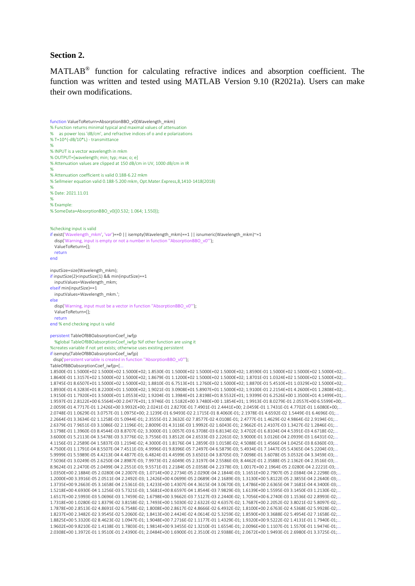#### **Section 2.**

MATLAB® function for calculating refractive indices and absorption coefficient. The function was written and tested using MATLAB Version 9.10 (R2021a). Users can make their own modifications.

```
function ValueToReturn=AbsorptionBBO_v0(Wavelength_mkm)
% Function returns minimal typical and maximal values of attenuation
% as power loss 'dB/cm', and refractive indices of o and e polarizations
% T=10^(-dB/10*L) - transmittance
%
% INPUT is a vector wavelength in mkm
% OUTPUT=[wavelength; min; typ; max; o; e]
% Attenuation values are clipped at 150 dB/cm in UV, 1000 dB/cm in IR
%
% Attenuation coefficient is valid 0.188-6.22 mkm
% Sellmeier equation valid 0.188-5.200 mkm, Opt.Mater.Express,8,1410-1418(2018)
%
% Date: 2021.11.01
%
% Example:
% SomeData=AbsorptionBBO_v0([0.532; 1.064; 1.550]);
%checking input is valid
if exist('Wavelength_mkm', 'var')==0 || isempty(Wavelength_mkm)==1 || isnumeric(Wavelength_mkm)~=1
  disp('Warning, input is empty or not a number in function "AbsorptionBBO_v0"');
   ValueToReturn=[];
  return
end
inputSize=size(Wavelength_mkm);
if inputSize(2)<inputSize(1) && min(inputSize)==1
   inputValues=Wavelength_mkm;
elseif min(inputSize)==1
  inputValues=Wavelength_mkm.';
else
   disp('Warning, input must be a vector in function ''AbsorptionBBO_v0''');
   ValueToReturn=[];
   return
end % end checking input is valid
persistent TableOfBBOabsorptionCoef_iwfip
   %global TableOfBBOabsorptionCoef_iwfjp %if other function are using it
%creates variable if not yet exists; otherwise uses existing persistent
if isempty(TableOfBBOabsorptionCoef_iwfjp)
  disp('persistent variable is created in function ''AbsorptionBBO_v0''');
TableOfBBOabsorptionCoef_iwfjp=[..
1.8500E-01 1.5000E+02 1.5000E+02 1.5000E+02; 1.8530E-01 1.5000E+02 1.5000E+02 1.5000E+02; 1.8590E-01 1.5000E+02 1.5000E+02 1.5000E+02;...
1.8640E-01 1.3157E+02 1.5000E+02 1.5000E+02; 1.8679E-01 1.1200E+02 1.5000E+02 1.5000E+02; 1.8701E-01 1.0324E+02 1.5000E+02 1.5000E+02;...
1.8745E-01 8.6507E+01 1.5000E+02 1.5000E+02; 1.8810E-01 6.7513E+01 1.2760E+02 1.5000E+02; 1.8870E-01 5.4510E+01 1.0329E+02 1.5000E+02;...
1.8930E-01 4.3283E+01 8.2200E+01 1.5000E+02; 1.9021E-01 3.0908E+01 5.8907E+01 1.5000E+02; 1.9100E-01 2.2154E+01 4.2600E+01 1.2808E+02;...
1.9150E-01 1.7920E+01 3.5000E+01 1.0553E+02; 1.9204E-01 1.3984E+01 2.8198E+01 8.5532E+01; 1.9399E-01 6.2526E+00 1.3500E+01 4.1499E+01;...
1.9597E-01 2.8122E+00 6.5564E+00 2.0477E+01; 1.9746E-01 1.5182E+00 3.7480E+00 1.1854E+01; 1.9913E-01 8.0279E-01 2.0557E+00 6.5599E+00;...
2.0059E-01 4.7717E-01 1.2426E+00 3.9932E+00; 2.0241E-01 2.8270E-01 7.4901E-01 2.4441E+00; 2.0459E-01 1.7431E-01 4.7702E-01 1.6080E+00;...
2.0748E-01 1.0629E-01 3.0757E-01 1.0975E+00; 2.1239E-01 6.9493E-02 2.1715E-01 8.4060E-01; 2.1978E-01 4.6592E-02 1.5449E-01 6.4696E-01;...
2.2664E-01 3.3634E-02 1.1258E-01 5.0944E-01; 2.3555E-01 2.3632E-02 7.8577E-02 4.0108E-01; 2.4777E-01 1.4629E-02 4.9864E-02 2.9194E-01;...
2.6379E-01 7.9651E-03 3.1086E-02 2.1196E-01; 2.8009E-01 4.3116E-03 1.9992E-02 1.6043E-01; 2.9662E-01 2.4107E-03 1.3427E-02 1.2846E-01;...
3.1798E-01 1.3960E-03 8.4544E-03 8.8707E-02; 3.3000E-01 1.0057E-03 6.3708E-03 6.8134E-02; 3.4702E-01 6.8104E-04 4.5391E-03 4.6718E-02;...
3.6000E-01 5.2113E-04 3.5478E-03 3.3776E-02; 3.7556E-01 3.8512E-04 2.6533E-03 2.2261E-02; 3.9000E-01 3.0126E-04 2.0939E-03 1.6431E-02;...
4.1156E-01 2.2589E-04 1.5837E-03 1.2194E-02; 4.3000E-01 1.8176E-04 1.2859E-03 1.0158E-02; 4.5088E-01 1.4566E-04 1.0425E-03 8.6360E-03;...
4.7500E-01 1.1791E-04 8.5507E-04 7.4511E-03; 4.9996E-01 9.8396E-05 7.2497E-04 6.5879E-03; 5.4934E-01 7.1447E-05 5.4365E-04 5.2204E-03;...
5.9999E-01 5.5989E-05 4.4213E-04 4.4877E-03; 6.4824E-01 4.4599E-05 3.6501E-04 3.8705E-03; 7.0098E-01 3.6078E-05 3.0532E-04 3.3459E-03;...
7.5036E-01 3.0249E-05 2.6250E-04 2.8987E-03; 7.9973E-01 2.6049E-05 2.3197E-04 2.5586E-03; 8.4462E-01 2.3588E-05 2.1362E-04 2.3516E-03;...
8.9624E-01 2.2470E-05 2.0499E-04 2.2551E-03; 9.5571E-01 2.2184E-05 2.0358E-04 2.2378E-03; 1.0017E+00 2.1964E-05 2.0280E-04 2.2221E-03;...
1.0350E+00 2.1884E-05 2.0280E-04 2.2007E-03; 1.0714E+00 2.2734E-05 2.0290E-04 2.1844E-03; 1.1651E+00 2.7907E-05 2.0384E-04 2.2298E-03;...
1.2000E+00 3.3916E-05 2.0511E-04 2.2492E-03; 1.2426E+00 4.0699E-05 2.0689E-04 2.1689E-03; 1.3130E+00 5.8122E-05 2.3855E-04 2.2640E-03;...
1.3735E+00 9.2663E-05 3.1658E-04 2.5361E-03; 1.4233E+00 1.4307E-04 4.3615E-04 3.0670E-03; 1.4786E+00 2.6365E-04 7.1681E-04 4.3400E-03;...
1.5218E+00 4.6930E-04 1.1256E-03 5.7321E-03; 1.5681E+00 8.6597E-04 1.8544E-03 7.9829E-03; 1.6139E+00 1.5595E-03 3.1450E-03 1.2130E-02;...
1.6517E+00 2.5993E-03 5.0696E-03 1.7459E-02; 1.6798E+00 3.9662E-03 7.5127E-03 2.2440E-02; 1.7056E+00 6.2740E-03 1.1536E-02 2.8993E-02;...
1.7318E+00 1.0280E-02 1.8379E-02 3.8158E-02; 1.7493E+00 1.5030E-02 2.6322E-02 4.6357E-02; 1.7687E+00 2.2052E-02 3.8021E-02 5.8097E-02;...
1.7878E+00 2.8513E-02 4.8691E-02 6.7548E-02; 1.8008E+00 2.8617E-02 4.8666E-02 6.4932E-02; 1.8100E+00 2.6763E-02 4.5368E-02 5.9928E-02;...
1.8237E+00 2.3482E-02 3.9545E-02 5.2060E-02; 1.8413E+00 2.4424E-02 4.0614E-02 5.3259E-02; 1.8590E+00 3.3688E-02 5.4954E-02 7.1658E-02;...
1.8825E+00 5.3320E-02 8.4623E-02 1.0947E-01; 1.9048E+00 7.2716E-02 1.1177E-01 1.4329E-01; 1.9320E+00 9.5222E-02 1.4131E-01 1.7940E-01;...
1.9602E+00 9.8210E-02 1.4138E-01 1.7803E-01; 1.9814E+00 9.3455E-02 1.3210E-01 1.6554E-01; 2.0096E+00 1.1107E-01 1.5570E-01 1.9474E-01;...
2.0308E+00 1.3972E-01 1.9510E-01 2.4390E-01; 2.0484E+00 1.6900E-01 2.3510E-01 2.9388E-01; 2.0672E+00 1.9493E-01 2.6980E-01 3.3725E-01;...
```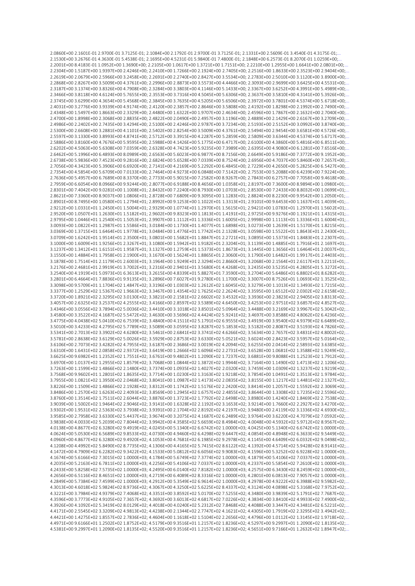2.0860E+00 2.1601E-01 2.9700E-01 3.7125E-01; 2.1084E+00 2.1792E-01 2.9700E-01 3.7125E-01; 2.1331E+00 2.5609E-01 3.4540E-01 4.3175E-01; 2.1530E+00 3.2676E-01 4.3630E-01 5.4538E-01; 2.1695E+00 4.5231E-01 5.9840E-01 7.4800E-01; 2.1848E+00 6.2573E-01 8.2070E-01 1.0259E+00; 2,2001E+00 8,4183E-01 1,0952E+00 1,3690E+00; 2,2105E+00 1,0617E+00 1,3721E+00 1,7151E+00; 2,2210E+00 1,2955E+00 1,6641E+00 2,0801E+00; 2.2304F+00 1.5187F+00 1.9397F+00 2.4246F+00: 2.2410F+00 1.7266F+00 2.1924F+00 2.7405F+00: 2.2516F+00 1.8633F+00 2.3523F+00 2.9404F+00: 2.2619E+00 2.0679E+00 2.5966E+00 3.2458E+00; 2.2691E+00 2.2740E+00 2.8427E+00 3.5534E+00; 2.2783E+00 2.5010E+00 3.1120E+00 3.8900E+00; 2 2868E+00 2 8267E+00 3 5009E+00 4 3761E+00 2 2996E+00 2 8873E+00 3 5573E+00 4 4466E+00 2 3093E+00 2 9699E+00 3 6425E+00 4 5531E+00 2.3187F+00 3.1374F+00 3.8326F+00 4.7908F+00; 2.3284F+00 3.3803F+00 4.1146F+00 5.1433F+00; 2.3367F+00 3.6252F+00 4.3991F+00 5.4989F+00; 2.3466E+00 3.8118E+00 4.6124E+00 5.7655E+00; 2.3553E+00 3.7316E+00 4.5045E+00 5.6306E+00; 2.3637E+00 3.5810E+00 4.3141E+00 5.3926E+00;. 2.3745E+00 3.6299E+00 4.3654E+00 5.4568E+00; 2.3845E+00 3.7635E+00 4.5205E+00 5.6506E+00; 2.3972E+00 3.7801E+00 4.5374E+00 5.6718E+00; 2.4031E+00 3.2776E+00 3.9339E+00 4.9174E+00; 2.4120E+00 2.3857E+00 2.8646E+00 3.5808E+00; 2.4192E+00 1.8298E+00 2.1992E+00 2.7490E+00;.. 2.4348F+00 1.5497F+00 1.8663F+00 2.3329F+00: 2.4480F+00 1.6322F+00 1.9707F+00 2.4634F+00: 2.4596F+00 1.7867F+00 2.1632F+00 2.7040F+00: 2.4700E+00 1.8998E+00 2.3068E+00 2.8835E+00; 2.4822E+00 2.0490E+00 2.4957E+00 3.1196E+00; 2.4889E+00 2.1429E+00 2.6167E+00 3.2709E+00;.. 2.4986E+00 2.2402E+00 2.7435E+00 3.4294E+00; 2.5100E+00 2.4246E+00 2.9787E+00 3.7234E+00; 2.5193E+00 2.5152E+00 3.0992E+00 3.8740E+00;.. 2.5300E+00 2.6608E+00 3.2881E+00 4.1101E+00; 2.5402E+00 2.8254E+00 3.5009E+00 4.3761E+00; 2.5494E+00 2.9454E+00 3.6581E+00 4.5726E+00;.. 2.5597E+00 3.1330E+00 3.8993E+00 4.8741E+00; 2.5712E+00 3.3915E+00 4.2287E+00 5.2859E+00; 2.5809E+00 3.6344E+00 4.5374E+00 5.6717E+00;.. 2.5886E+00 3.8160E+00 4.7676E+00 5.9595E+00; 2.5988E+00 4.1426E+00 5.1775E+00 6.4717E+00; 2.6100E+00 4.3860E+00 5.4816E+00 6.8511E+00; 2.6202E+00 4.5063E+00 5.6308E+00 7.0359E+00; 2.6328E+00 4.7423E+00 5.9235E+00 7.3989E+00; 2.6395E+00 4.9080E+00 6.1281E+00 7.6516E+00; 2.6462E+00 5.1996E+00 6.4893E+00 8.0989E+00; 2.6563E+00 5.6023E+00 6.9877E+00 8.7156E+00; 2.6649E+00 5.9186E+00 7.3772E+00 9.1952E+00;.. 2.6738E+00 5.9836E+00 7.4523E+00 9.2816E+00; 2.6824E+00 5.6528E+00 7.0339E+00 8.7524E+00; 2.6956E+00 4.7037E+00 5.8460E+00 7.2657E+00;.. 2.7056E+00 4.3423E+00 5.3906E+00 6.6920E+00; 2.7141E+00 4.2169E+00 5.2292E+00 6.4845E+00; 2.7229E+00 4.2650E+00 5.2825E+00 6.5427E+00;.. 2.7354E+00 4.5854E+00 5.6709E+00 7.0133E+00; 2.7464E+00 4.9273E+00 6.0848E+00 7.5142E+00; 2.7553E+00 5.2088E+00 6.4239E+00 7.9224E+00;.. 2.7636E+00 5.4957E+00 6.7689E+00 8.3370E+00; 2.7733E+00 5.9015E+00 7.2582E+00 8.9267E+00; 2.7843E+00 6.2757E+00 7.7058E+00 9.4618E+00;.. 2.7959E+00 6.6054E+00 8.0966E+00 9.9244E+00; 2.8077E+00 6.9188E+00 8.4656E+00 1.0358E+01; 2.8197E+00 7.3600E+00 8.9894E+00 1.0980E+01; 2.8301F+00 7.4042F+00 9.0281F+00 1.1008F+01: 2.8432F+00 7.2240F+00 8.7930F+00 1.0703F+01: 2.8530F+00 7.2433F+00 8.8032F+00 1.0699F+01: 2.8621E+00 7.3360E+00 8.9037E+00 1.0806E+01; 2.8728E+00 7.6809E+00 9.3095E+00 1.1283E+01; 2.8824E+00 8.2230E+00 9.9542E+00 1.2050E+01; 2.8901F+00 8.7495F+00 1.0580F+01 1.2794F+01: 2.8992F+00 9.1253F+00 1.1022F+01 1.3313F+01: 2.9101F+00 9.6453F+00 1.1637F+01 1.4039F+01: 2.9212E+00 1.0331E+01 1.2450E+01 1.5004E+01: 2.9329E+00 1.0774E+01 1.2970E+01 1.5615E+01: 2.9421E+00 1.0783E+01 1.2970E+01 1.5602E+01:.. 2,9520E+00 1,0507E+01 1,2630E+01 1,5182E+01; 2,9602E+00 9,8323E+00 1,1813E+01 1,4191E+01; 2,9725E+00 9,9276E+00 1,1921E+01 1,4315E+01; 2.9795F+00 1.0446F+01 1.2540F+01 1.5053F+01: 2.9907F+00 1.1112F+01 1.3336F+01 1.6005F+01: 2.9998F+00 1.1113F+01 1.3336F+01 1.6004F+01: 3.0093E+00 1.0822E+01 1.2987E+01 1.5586E+01; 3.0184E+00 1.1730E+01 1.4077E+01 1.6898E+01; 3.0273E+00 1.2639E+01 1.5170E+01 1.8215E+01;.. 3.0369E+00 1.3715E+01 1.6464E+01 1.9778E+01; 3.0484E+00 1.4776E+01 1.7742E+01 2.1328E+01; 3.0598E+00 1.5522E+01 1.8643E+01 2.2430E+01;.. 3.0709E+00 1.6242E+01 1.9514E+01 2.3500E+01; 3.0801E+00 1.5682E+01 1.8847E+01 2.2721E+01; 3.0895E+00 1.5373E+01 1.8483E+01 2.2307E+01; 3.1000E+00 1.6009E+01 1.9256E+01 2.3267E+01; 3.1080E+00 1.5942E+01 1.9182E+01 2.3204E+01; 3.1139E+00 1.4885E+01 1.7916E+01 2.1697E+01;.. 3.1237E+00 1.3412E+01 1.6151E+01 1.9587E+01; 3.1327E+00 1.2759E+01 1.5373E+01 1.8673E+01 3.1445E+00 1.3656E+01 1.6464E+01 2.0037E+01; 3.1550E+00 1.4884E+01 1.7958E+01 2.1900E+01; 3.1670E+00 1.5624E+01 1.8865E+01 2.3060E+01; 3.1790E+00 1.6482E+01 1.9917E+01 2.4403E+01;.. 3.1878E+00 1.7514E+01 2.1179E+01 2.6003E+01; 3.1964E+00 1.9249E+01 2.3294E+01 2.8660E+01; 3.2068E+00 2.1564E+01 2.6117E+01 3.2211E+01;.. 3.2176E+00 2.4681E+01 2.9919E+01 3.7002E+01; 3.2316E+00 2.9401E+01 3.5680E+01 4.4268E+01; 3.2435E+00 3.5235E+01 4.2805E+01 5.3272E+01;.. 3.2540E+00 4.1919E+01 5.0973E+01 6.3613E+01; 3.2615E+00 4.8339E+01 5.8827E+01 7.3590E+01; 3.2704E+00 5.6486E+01 6.8802E+01 8.6282E+01; 3.2801E+00 6.4664E+01 7.8836E+01 9.9135E+01; 3.2896E+00 7.6027E+01 9.2780E+01 1.1700E+02; 3.3007E+00 8.7526E+01 1.0693E+02 1.3525E+02;.. 3.3098E+00 9.5709E+01 1.1704E+02 1.4847E+02; 3.3196E+00 1.0303E+02 1.2612E+02 1.6045E+02; 3.3279E+00 1.1013E+02 1.3493E+02 1.7215E+02;.. 3.3377E+00 1.2529E+02 1.5367E+02 1.9663E+02; 3.3467E+00 1.4354E+02 1.7625E+02 2.2624E+02; 3.3595E+00 1.6512E+02 2.0302E+02 2.6158E+02;... 3.3720E+00 1.8921E+02 2.3295E+02 3.0130E+02; 3.3821E+00 2.1581E+02 2.6602E+02 3.4532E+02; 3.3936E+00 2.3823E+02 2.9405E+02 3.8313E+02;.. 3.4057E+00 2.6325E+02 3.2537E+02 4.2555E+02; 3.4166E+00 2.8597E+02 3.5389E+02 4.6450E+02; 3.4253E+00 2.9751E+02 3.6857E+02 4.8527E+02;.. 3.4346E+00 3.0556E+02 3.7894E+02 5.0036E+02; 3.4410E+00 3.1018E+02 3.8501E+02 5.0964E+02; 3.4488E+00 3.2169E+02 3.9967E+02 5.3042E+02;.. 3.4580E+00 3.3522E+02 4.1687E+02 5.5472E+02: 3.4630E+00 3.5696E+02 4.4424E+02 5.9241E+02: 3.4697E+00 3.8588E+02 4.8062E+02 6.4236E+02: 3.4775E+00 4.0438E+02 5.0410E+02 6.7539E+02: 3.4840E+00 4.1511E+02 5.1791E+02 6.9555E+02: 3.4919E+00 3.9540E+02 4.9379E+02 6.6489E+02: 3.5010F+00 3.4233F+02 4.2795F+02 5.7789F+02: 3.5089F+00 3.0595F+02 3.8287F+02 5.1853F+02: 3.5182F+00 2.8087F+02 3.5193F+02 4.7826F+02: 3.5341E+00 2.7013E+02 3.3902E+02 4.6280E+02: 3.5461E+00 2.6841E+02 3.3741E+02 4.6266E+02: 3.5634E+00 2.7657E+02 3.4831E+02 4.8002E+02: 3.5781E+00 2.8638E+02 3.6129E+02 5.0026E+02: 3.5929E+00 2.8753E+02 3.6330E+02 5.0521E+02: 3.6024E+00 2.8423E+02 3.5957E+02 5.0164E+02: 3.6106E+00 2.7073E+02 3.4282E+02 4.7955E+02; 3.6187E+00 2.3686E+02 3.0019E+02 4.2094E+02; 3.6255E+00 2.0414E+02 2.5893E+02 3.6385E+02; 3.6310E+00 1.6431E+02 2.0858E+02 2.9372E+02: 3.6419E+00 1.2666E+02 1.6096E+02 2.2731E+02: 3.6528E+00 1.0681E+02 1.3588E+02 1.9249E+02: 3.6625F+00 9.6982F+01 1.2352F+02 1.7551F+02: 3.6761F+00 9.4802F+01 1.2090F+02 1.7237F+02: 3.6881F+00 9.8088F+01 1.2523F+02 1.7912F+02: 3.6970E+00 1.0137E+02 1.2955E+02 1.8579E+02; 3.7068E+00 1.0844E+02 1.3872E+02 1.9944E+02; 3.7164E+00 1.1490E+02 1.4713E+02 2.1206E+02;.. 3.7263E+00 1.1599E+02 1.4866E+02 2.1480E+02; 3.7374E+00 1.0935E+02 1.4027E+02 2.0320E+02; 3.7459E+00 1.0309E+02 1.3237E+02 1.9219E+02; 3.7568E+00 9.9602E+01 1.2801E+02 1.8635E+02; 3.7714E+00 1.0230E+02 1.3163E+02 1.9218E+02; 3.7854E+00 1.0491E+02 1.3513E+02 1.9784E+02;.. 3.7955E+00 1.0821E+02 1.3950E+02 2.0468E+02; 3.8041E+00 1.0987E+02 1.4173E+02 2.0835E+02; 3.8155E+00 1.1217E+02 1.4481E+02 2.1327E+02;.. 3.8226E+00 1.1509E+02 1.4866E+02 2.1928E+02; 3.8312E+00 1.1742E+02 1.5176E+02 2.2420E+02; 3.8414E+00 1.2057E+02 1.5592E+02 2.3069E+02;.. 3.8486E+00 1.2570E+02 1.6263E+02 2.4093E+02; 3.8569E+00 1.2945E+02 1.6757E+02 2.4855E+02; 3.8644E+00 1.3308E+02 1.7235E+02 2.5596E+02;.. 3.8760E+00 1.3514E+02 1.7511E+02 2.6044E+02; 3.8876E+00 1.3723E+02 1.7792E+02 2.6498E+02; 3.8980E+00 1.4240E+02 1.8469E+02 2.7538E+02;.. 3.9039E+00 1.5002E+02 1.9464E+02 2.9046E+02; 3.9141E+00 1.6328E+02 2.1192E+02 3.1653E+02; 3.9214E+00 1.7660E+02 2.2927E+02 3.4270E+02;.. 3,9302E+00 1,9531E+02 2,5363E+02 3,7938E+02; 3,9391E+00 2,1704E+02 2,8192E+02 4,2197E+02; 3,9480E+00 2,4119E+02 3,1336E+02 4,6930E+02; 3.9585E+00 2.7958E+02 3.6330E+02 5.4437E+02; 3.9674E+00 3.2075E+02 4.1687E+02 6.2489E+02; 3.9764E+00 3.6220E+02 4.7079E+02 7.0592E+02;.. 3.9838E+00 4.0033E+02 5.2039E+02 7.8044E+02; 3.9942E+00 4.3585E+02 5.6659E+02 8.4984E+02; 4.0048E+00 4.5932E+02 5.9712E+02 8.9567E+02;.. 4.0138E+00 4.8677E+02 6.3280E+02 9.4919E+02; 4.0245E+00 5.1340E+02 6.6742E+02 1.0000E+03; 4.0425E+00 5.1340E+02 6.6742E+02 1.0000E+03;.. 4.0624E+00 5.0530E+02 6.5689E+02 9.8533E+02; 1.0730E+00 4.9460E+02 6.4298E+02 9.6447E+02; 4.0854E+00 4.8948E+02 6.3633E+02 9.5449E+02; 4.0960E+00 4.8677E+02 6.3280E+02 9.4920E+02: 4.1053E+00 4.7681E+02 6.1985E+02 9.2978E+02: 4.1145E+00 4.6409E+02 6.0332E+02 9.0498E+02: 4.1208E+00 4.5714E+02 5.9428E+02 8.714E+02;.. 4.1306E+00 4.4165E+02 5.7415E+02 8.6122E+02; 4.1392E+00 4.5714E+02 5.9428E+02 8.9141E+02; 4.1472E+00 4.7909E+02 6.2282E+02 9.3422E+02: 4.1533E+00 5.0812E+02 6.6056E+02 9.9083E+02: 4.1596E+00 5.3252E+02 6.9228E+02 1.0000E+03: 4.1674F+00 5.6166F+02 7.3015F+02 1.0000F+03: 4.1784F+00 5.6749F+02 7.3774F+02 1.0000F+03: 4.1879F+00 5.4106F+02 7.0337F+02 1.0000F+03: 4.2035F+00 5.2163F+02 6.7811F+02 1.0000F+03: 4.2256F+00 5.4106F+02 7.0337F+02 1.0000F+03: 4.2337F+00 5.5854F+02 7.2610F+02 1.0000F+03: 4.2433E+00 5.8258E+02 7.5735E+02 1.0000E+03; 4.2495E+00 6.0140E+02 7.8182E+02 1.0000E+03; 4.2575E+00 6.3430E+02 8.2459E+02 1.0000E+03; 4.2656E+00 6.5116E+02 8.4651E+02 1.0000E+03; 4.2719E+00 6.4089E+02 8.3316E+02 1.0000E+03; 4.2801E+00 6.0813E+02 7.9057E+02 1.0000E+03;. 4.2849E+00 5.7384E+02 7.4599E+02 1.0000E+03; 4.2912E+00 5.3549E+02 6.9614E+02 1.0000E+03; 4.2978E+00 4.9222E+02 6.3988E+02 9.5982E+02;.. 4.3013F+00 4.6018F+02 5.9824F+02 8.9736F+02: 4.3067F+00 4.3250F+02 5.6225F+02 8.4337F+02: 4.3124F+00 4.0898F+02 5.3168F+02 7.9752F+02: 4.3221E+00 3.7984E+02 4.9379E+02 7.4068E+02; 4.3351E+00 3.8592E+02 5.0170E+02 7.5255E+02; 4.3480E+00 3.9839E+02 5.1791E+02 7.7687E+02;.. 4.3596E+00 3.7773E+02 4.9105E+02 7.3657E+02; 4.3692E+00 3.6013E+02 4.6817E+02 7.0226E+02; 4.3834E+00 3.8410E+02 4.9933E+02 7.4900E+02; 4.3926E+00 4.1092E+02 5.3419E+02 8.0129E+02; 4.4018E+00 4.0240E+02 5.2312E+02 7.8468E+02; 4.4088E+00 3.3447E+02 4.3481E+02 6.5221E+02;.. 4.4171E+00 2.5545E+02 3.3209E+02 4.9813E+02; 4.4238E+00 2.1344E+02 2.7747E+02 4.1621E+02; 4.4305E+00 1.7919E+02 2.3295E+02 3.4942E+02;.. 4.4421E+00 1.4275E+02 1.8557E+02 2.7836E+02; 4.4604E+00 1.1618E+02 1.5104E+02 2.2656E+02; 4.4796E+00 1.0112E+02 1.3145E+02 1.9718E+02;... 4.4971E+00 9.6166E+01 1.2502E+02 1.8752E+02; 4.5179E+00 9.3516E+01 1.2157E+02 1.8236E+02; 4.5297E+00 9.2997E+01 1.2090E+02 1.8135E+02;.. 4.5381E+00 9.2997E+01 1.2090E+02 1.8135E+02; 4.5520E+00 9.3516E+01 1.2157E+02 1.8236E+02; 4.5651E+00 9.7166E+01 1.2632E+02 1.8947E+02;..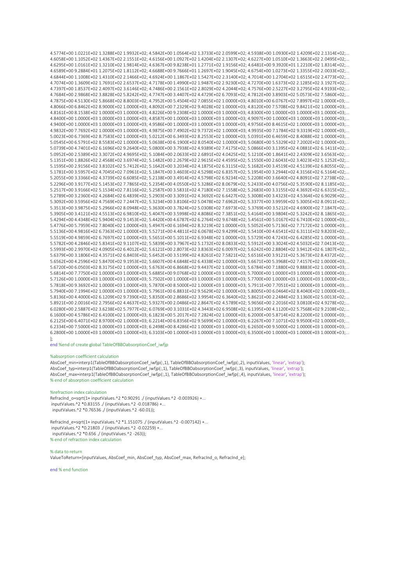4.5774E+00 1.0221E+02 1.3288E+02 1.9932E+02; 4.5842E+00 1.0564E+02 1.3733E+02 2.0599E+02; 4.5938E+00 1.0930E+02 1.4209E+02 2.1314E+02;.. 4.6058E+00 1.1052E+02 1.4367E+02 2.1551E+02; 4.6156E+00 1.0927E+02 1.4204E+02 2.1307E+02; 4.6227E+00 1.0510E+02 1.3663E+02 2.0495E+02;.. 4.6295E+00 1.0161E+02 1.3210E+02 1.9814E+02: 4.6367E+00 9.8238E+01 1.2771E+02 1.9156E+02: 4.6481E+00 9.3920E+01 1.2210E+02 1.8314E+02:.. 4.6589F+00 9.2884F+01 1.2075F+02 1.8112F+02: 4.6688F+00 9.7666F+01 1.2697F+02 1.9045F+02: 4.6754F+00 1.0273F+02 1.3355F+02 2.0033F+02: 4.6844E+00 1.1008E+02 1.4310E+02 2.1466E+02: 4.6924E+00 1.1867E+02 1.5427E+02 2.3140E+02: 4.7014E+00 1.2704E+02 1.6515E+02 2.4773E+02: 4 7074F+00 1 3609F+02 1 7691F+02 2 6537F+02 4 7178F+00 1 4990F+02 1 9487F+02 2 9230F+02 4 7270F+00 1 6373F+02 2 1285F+02 3 1927F+02 4.7397F+00 1.8537F+02 2.4097F+02 3.6146F+02: 4.7486F+00 2.1561F+02 2.8029F+02 4.2044F+02: 4.7576F+00 2.5227F+02 3.2795F+02 4.9193F+02: 4.7684E+00 2.9868E+02 3.8828E+02 5.8242E+02; 4.7747E+00 3.4407E+02 4.4729E+02 6.7093E+02; 4.7812E+00 3.8903E+02 5.0573E+02 7.5860E+02;.. 4.7875F+00 4.5130F+02 5.8668F+02 8.8003F+02: 4.7952F+00 5.4504F+02 7.0855F+02 1.0000F+03: 4.8010F+00 6.0767F+02 7.8997F+02 1.0000F+03: 4.8066E+00 6.8462E+02 8.9000E+02 1.0000E+03; 4.8092E+00 7.2329E+02 9.4028E+02 1.0000E+03; 4.8120E+00 7.5708E+02 9.8421E+02 1.0000E+03;... 4.8161F+00 8.1538F+02 1.0000F+03 1.0000F+03: 4.8226F+00 9.2308F+02 1.0000F+03 1.0000F+03: 4.8300F+00 1.0000F+03 1.0000F+03 1.0000F+03: 4.8400E+00 1.0000E+03 1.0000E+03 1.0000E+03; 4.8587E+00 1.0000E+03 1.0000E+03 1.0000E+03; 4.9097E+00 1.0000E+03 1.0000E+03 1.0000E+03;. 4.9400E+00 1.0000E+03 1.0000E+03 1.0000E+03; 4.9586E+00 1.0000E+03 1.0000E+03 1.0000E+03; 4.9756E+00 8.4615E+02 1.0000E+03 1.0000E+03;.. 4.9832E+00 7.7692E+02 1.0000E+03 1.0000E+03; 4.9875E+00 7.4902E+02 9.7372E+02 1.0000E+03; 4.9935E+00 7.1784E+02 9.3319E+02 1.0000E+03;.. 5.0023E+00 6.7369E+02 8.7583E+02 1.0000E+03; 5.0212E+00 6.3493E+02 8.2553E+02 1.0000E+03; 5.0391E+00 6.4659E+02 8.4088E+02 1.0000E+03;.. 5.0545E+00 6.5791E+02 8.5583E+02 1.0000E+03; 5.0638E+00 6.1900E+02 8.0540E+02 1.0000E+03; 5.0680E+00 5.5329E+02 7.2002E+02 1.0000E+03;.. 5.0739E+00 4.7401E+02 6.1696E+02 9.2640E+02; 5.0800E+00 3.7938E+02 4.9389E+02 7.4175E+02; 5.0866E+00 3.1395E+02 4.0881E+02 6.1411E+02;. 5.0952E+00 2.5389E+02 3.6702E+02 4.9695E+02; 5.1084E+00 2.0633E+02 2.6891E+02 4.0425E+02; 5.1210E+00 1.8641E+02 2.4309E+02 3.6563E+02;.. 5.1351E+00 1.8826E+02 2.4568E+02 3.6974E+02; 5.1482E+00 2.2679E+02 2.9615E+02 4.4595E+02; 5.1550E+00 2.6043E+02 3.4023E+02 5.1252E+02;.. 5.1595E+00 2.9156E+02 3.8102E+02 5.7412E+02; 5.1642E+00 3.2034E+02 4.1875E+02 6.3115E+02; 5.1682E+00 3.4519E+02 4.5139E+02 6.8055E+02;.. 5.1781E+00 3.5957E+02 4.7045E+02 7.0961E+02; 5.1847E+00 3.4603E+02 4.5298E+02 6.8357E+02; 5.1954E+00 3.2944E+02 4.3156E+02 6.5164E+02;.. 5.2055E+00 3.3366E+02 4.3739E+02 6.6085E+02; 5.2138E+00 3.4914E+02 4.5798E+02 6.9234E+02; 5.2208E+00 3.6640E+02 4.8091E+02 7.2738E+02;.. 5.2296E+00 3.9177E+02 5.1453E+02 7.7865E+02: 5.2354E+00 4.0550E+02 5.3286E+02 8.0679E+02: 5.2433E+00 4.0756E+02 5.3590E+02 8.1185E+02: 5.2517F+00 3.9166F+02 5.1534F+02 7.8116F+02: 5.2587F+00 3.5831F+02 4.7180F+02 7.1558F+02: 5.2683F+00 3.3155F+02 4.3692F+02 6.6315F+02: 5.2789E+00 3.2360E+02 4.2684E+02 6.4839E+02: 5.2903E+00 3.3091E+02 4.3692E+02 6.6427E+02: 5.3008E+00 3.4323E+02 4.5364E+02 6.9029E+02: 5.3092E+00.3.5956E+02.4.7569E+02.7.2447E+02:5.3234E+00.3.8106E+02.5.0478E+02.5.0962E+02:5.3377E+00.3.9959E+02.5.3005E+02.8.0911E+02:.. 5.3513F+00 3.9875F+02 5.2966F+02 8.0948F+02: 5.3630F+00 3.7824F+02 5.0308F+02 7.6973F+02: 5.3769F+00 3.5212F+02 4.6900F+02 7.1847F+02:.. 5.3905E+00 3.4121E+02 4.5513E+02 6.9810E+02: 5.4047E+00 3.5998E+02 4.8086E+02 7.3851E+02: 5.4164E+00 3.9804E+02 5.3242E+02 8.1865E+02: 5.4294F+00 4.4348F+02 5.9404F+02 9.1453F+02: 5.4420F+00 4.6787F+02 6.2764F+02 9.6748F+02: 5.4561F+00 5.0167F+02 6.7410F+02 1.0000F+03: 5.4776E+00 5.7959E+02 7.8040E+02 1.0000E+03; 5.4947E+00 6.1694E+02 8.3219E+02 1.0000E+03; 5.5052E+00 5.7136E+02 7.7172E+02 1.0000E+03;. 5.5136E+00 4.9816E+02 6.7363E+02 1.0000E+03; 5.5271E+00 4.4811E+02 6.0678E+02 9.4299E+02; 5.5410E+00 4.6541E+02 6.3111E+02 9.8203E+02;. 5.5519E+00 4.9859E+02 6.7697E+02 1.0000E+03; 5.5651E+00 5.1011E+02 6.9348E+02 1.0000E+03; 5.5729E+00 4.7243E+02 6.4285E+02 1.0000E+03;.. 5.5782E+00 4.2846E+02 5.8341E+02 9.1107E+02; 5.5839E+00 3.7967E+02 5.1732E+02 8.0833E+02; 5.5912E+00 3.3024E+02 4.5032E+02 7.0413E+02;... 5.5993E+00 2.9970E+02 4.0905E+02 6.4012E+02: 5.6121E+00 2.8073E+02 3.8363E+02 6.0097E+02: 5.6242E+00 2.8804E+02 3.9412E+02 6.1807E+02: 5.6379E+00 3.1806E+02 4.3571E+02 6.8403E+02; 5.6452E+00 3.5199E+02 4.8261E+02 7.5821E+02; 5.6516E+00 3.9121E+02 5.3673E+02 8.4372E+02;.. 5.6562E+00 4.2596E+02 5.8470E+02 9.1953E+02; 5.6607E+00 4.6848E+02 6.4338E+02 1.0000E+03; 5.6671E+00 5.3968E+02 7.4157E+02 1.0000E+03;.. 5.6720E+00 6.0503E+02 8.3175E+02 1.0000E+03; 5.6763E+00 6.8668E+02 9.4437E+02 1.0000E+03; 5.6784E+00 7.1880E+02 9.8883E+02 1.0000E+03;... 5.6814E+00 7.7750E+02 1.0000E+03 1.0000E+03; 5.6885E+00 9.0768E+02 1.0000E+03 1.0000E+03; 5.7000E+00 1.0000E+03 1.0000E+03 1.0000E+03; 5.7126E+00 1.0000E+03 1.0000E+03 1.0000E+03; 5.7502E+00 1.0000E+03 1.0000E+03 1.0000E+03; 5.7700E+00 1.0000E+03 1.0000E+03 1.0000E+03;.. 5.7818E+00 9.3692E+02 1.0000E+03 1.0000E+03; 5.7870E+00 8.5000E+02 1.0000E+03 1.0000E+03; 5.7911E+00 7.7051E+02 1.0000E+03 1.0000E+03;.. 5.7940E+00 7.1994E+02 1.0000E+03 1.0000E+03; 5.7961E+00 6.8831E+02 9.5629E+02 1.0000E+03; 5.8005E+00 6.0464E+02 8.4040E+02 1.0000E+03;.. 5.8136E+00 4.4000E+02 6.1209E+02 9.7390E+02; 5.8350E+00 2.8686E+02 3.9954E+02 6.3640E+02; 5.8621E+00 2.2484E+02 3.1360E+02 5.0013E+02;.. 5.8921E+00 2.0016E+02 2.7956E+02 4.4637E+02; 5.9327E+00 2.0486E+02 2.8647E+02 4.5789E+02; 5.9656E+00 2.2016E+02 3.0810E+02 4.9278E+02;.. 6.0280E+00 2.5887E+02 3.6238E+02 5.7977E+02; 6.0769E+00 3.1031E+02 4.3443E+02 6.9508E+02; 6.1395E+00 4.1120E+02 5.7568E+02 9.2108E+02;... 6.1600E+00 4.5786E+02 6.4100E+02 1.0000E+03; 6.1823E+00 5.2017E+02 7.2824E+02 1.0000E+03; 6.2000E+00 5.8714E+02 8.2200E+02 1.0000E+03;... 6.2125E+00 6.4071E+02 8.9700E+02 1.0000E+03; 6.2214E+00 6.8356E+02 9.5699E+02 1.0000E+03; 6.2267E+00 7.1071E+02 9.9500E+02 1.0000E+03; 6.2334F+00 7.5000F+02 1.0000F+03 1.0000F+03: 6.2498F+00 8.4286F+02 1.0000F+03 1.0000F+03: 6.2650F+00 9.5000F+02 1.0000F+03 1.0000F+03; 6.2800E+00 1.0000E+03 1.0000E+03 1.0000E+03; 6.3103E+00 1.0000E+03 1.0000E+03 1.0000E+03; 6.3500E+00 1.0000E+03 1.0000E+03 1.0000E+03; Ŀ

end %end of create global TableOfBBOabsorptionCoef iwfip

#### %absorption coefficient calculation

AbsCoef\_min=interp1(TableOfBBOabsorptionCoef\_iwfjp(:,1), TableOfBBOabsorptionCoef\_iwfjp(:,2), inputValues, 'linear', 'extrap'); AbsCoef\_typ=interp1(TableOfBBOabsorptionCoef\_iwfjp(:,1), TableOfBBOabsorptionCoef\_iwfjp(:,3), inputValues, 'linear', 'extrap'); AbsCoef\_max=interp1(TableOfBBOabsorptionCoef\_iwfjp(:,1), TableOfBBOabsorptionCoef\_iwfjp(:,4), inputValues, 'linear', 'extrap'); % end of absorption coefficient calculation

#### %refraction index calculation

RefracInd\_o=sqrt(1+inputValues.^2 \*0.90291 ./ (inputValues.^2 -0.003926) +... inputValues.^2 \*0.83155 ./ (inputValues.^2 -0.018786) +... inputValues.^2 \*0.76536 ./ (inputValues.^2 -60.01));

RefracInd\_e=sqrt(1+inputValues.^2 \*1.151075 ./ (inputValues.^2 -0.007142) +... inputValues.^2 \*0.21803 ./ (inputValues.^2 -0.02259) +... inputValues.^2 \*0.656 ./ (inputValues.^2 -263)); % end of refraction index calculation

#### % data to return

ValueToReturn=linputValues. AbsCoef min. AbsCoef typ. AbsCoef max. Refracind o. Refracind el:

end % end function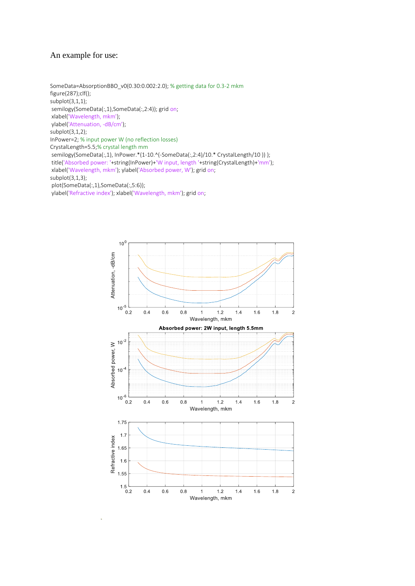# An example for use:

SomeData=AbsorptionBBO\_v0(0.30:0.002:2.0); % getting data for 0.3-2 mkm figure(287);clf(); subplot(3,1,1); semilogy(SomeData(:,1),SomeData(:,2:4)); grid on; xlabel('Wavelength, mkm'); ylabel('Attenuation, -dB/cm'); subplot(3,1,2); InPower=2; % input power W (no reflection losses) CrystalLength=5.5;% crystal length mm semilogy(SomeData(:,1), InPower.\*(1-10.^(-SomeData(:,2:4)/10.\* CrystalLength/10 )) ); title('Absorbed power: '+string(InPower)+'W input, length '+string(CrystalLength)+'mm'); xlabel('Wavelength, mkm'); ylabel('Absorbed power, W'); grid on; subplot(3,1,3); plot(SomeData(:,1),SomeData(:,5:6)); ylabel('Refractive index'); xlabel('Wavelength, mkm'); grid on;

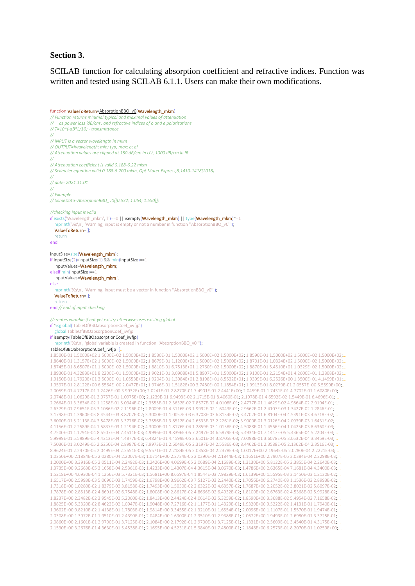### **Section 3.**

SCILAB function for calculating absorption coefficient and refractive indices. Function was written and tested using SCILAB 6.1.1. Users can make their own modifications.

function ValueToReturn=AbsorptionBBO\_v0(Wavelength\_mkm) *// Function returns minimal typical and maximal values of attenuation // as power loss 'dB/cm', and refractive indices of o and e polarizations // T=10^(-dB\*L/10) - transmittance // // INPUT is a vector wavelength in mkm // OUTPUT=[wavelength; min; typ; max; o; e] // Attenuation values are clipped at 150 dB/cm in UV, 1000 dB/cm in IR // // Attenuation coefficient is valid 0.188-6.22 mkm // Sellmeier equation valid 0.188-5.200 mkm, Opt.Mater.Express,8,1410-1418(2018) // // date: 2021.11.01 // // Example: // SomeData=AbsorptionBBO\_v0([0.532; 1.064; 1.550]); //checking input is valid* if exists('Wavelength\_mkm', 'l')==0 || isempty(Wavelength\_mkm) || type(Wavelength\_mkm)~=1 mprintf('%s\n', 'Warning, input is empty or not a number in function ''AbsorptionBBO\_v0'''); ValueToReturn=[]; return end inputSize=size(Wavelength\_mkm); if inputSize(2)<inputSize(1) && min(inputSize)==1 inputValues=Wavelength\_mkm; elseif min(inputSize)==1 inputValues=Wavelength\_mkm.'; else mprintf('%s\n', 'Warning, input must be a vector in function "AbsorptionBBO\_v0"'); ValueToReturn=[]; return end *// end of input checking //creates variable if not yet exists; otherwise uses existing global* if ~isglobal('TableOfBBOabsorptionCoef\_iwfjp') global TableOfBBOabsorptionCoef\_iwfjp if isempty(TableOfBBOabsorptionCoef\_iwfjp) mprintf('%s\n', 'global variable is created in function "AbsorptionBBO\_v0"'); TableOfBBOabsorptionCoef\_iwfjp=[... 1.8500E-01 1.5000E+02 1.5000E+02 1.5000E+02; 1.8530E-01 1.5000E+02 1.5000E+02 1.5000E+02; 1.8590E-01 1.5000E+02 1.5000E+02 1.5000E+02;... 1.8640E-01 1.3157E+02 1.5000E+02 1.5000E+02; 1.8679E-01 1.1200E+02 1.5000E+02 1.5000E+02; 1.8701E-01 1.0324E+02 1.5000E+02 1.5000E+02;... 1.8745E-01 8.6507E+01 1.5000E+02 1.5000E+02; 1.8810E-01 6.7513E+01 1.2760E+02 1.5000E+02; 1.8870E-01 5.4510E+01 1.0329E+02 1.5000E+02;... 1.8930E-01 4.3283E+01 8.2200E+01 1.5000E+02; 1.9021E-01 3.0908E+01 5.8907E+01 1.5000E+02; 1.9100E-01 2.2154E+01 4.2600E+01 1.2808E+02;... 1.9150E-01 1.7920E+01 3.5000E+01 1.0553E+02; 1.9204E-01 1.3984E+01 2.8198E+01 8.5532E+01; 1.9399E-01 6.2526E+00 1.3500E+01 4.1499E+01;... 1.9597E-01 2.8122E+00 6.5564E+00 2.0477E+01; 1.9746E-01 1.5182E+00 3.7480E+00 1.1854E+01; 1.9913E-01 8.0279E-01 2.0557E+00 6.5599E+00;... 2.0059E-01 4.7717E-01 1.2426E+00 3.9932E+00; 2.0241E-01 2.8270E-01 7.4901E-01 2.4441E+00; 2.0459E-01 1.7431E-01 4.7702E-01 1.6080E+00;... 2.0748E-01 1.0629E-01 3.0757E-01 1.0975E+00; 2.1239E-01 6.9493E-02 2.1715E-01 8.4060E-01; 2.1978E-01 4.6592E-02 1.5449E-01 6.4696E-01;... 2.2664E-01 3.3634E-02 1.1258E-01 5.0944E-01; 2.3555E-01 2.3632E-02 7.8577E-02 4.0108E-01; 2.4777E-01 1.4629E-02 4.9864E-02 2.9194E-01;... 2.6379E-01 7.9651E-03 3.1086E-02 2.1196E-01; 2.8009E-01 4.3116E-03 1.9992E-02 1.6043E-01; 2.9662E-01 2.4107E-03 1.3427E-02 1.2846E-01;... 3.1798E-01 1.3960E-03 8.4544E-03 8.8707E-02; 3.3000E-01 1.0057E-03 6.3708E-03 6.8134E-02; 3.4702E-01 6.8104E-04 4.5391E-03 4.6718E-02;... 3.6000E-01 5.2113E-04 3.5478E-03 3.3776E-02; 3.7556E-01 3.8512E-04 2.6533E-03 2.2261E-02; 3.9000E-01 3.0126E-04 2.0939E-03 1.6431E-02;... 4.1156E-01 2.2589E-04 1.5837E-03 1.2194E-02; 4.3000E-01 1.8176E-04 1.2859E-03 1.0158E-02; 4.5088E-01 1.4566E-04 1.0425E-03 8.6360E-03;... 4.7500E-01 1.1791E-04 8.5507E-04 7.4511E-03; 4.9996E-01 9.8396E-05 7.2497E-04 6.5879E-03; 5.4934E-01 7.1447E-05 5.4365E-04 5.2204E-03;... 5.9999E-01 5.5989E-05 4.4213E-04 4.4877E-03; 6.4824E-01 4.4599E-05 3.6501E-04 3.8705E-03; 7.0098E-01 3.6078E-05 3.0532E-04 3.3459E-03;... 7.5036E-01 3.0249E-05 2.6250E-04 2.8987E-03; 7.9973E-01 2.6049E-05 2.3197E-04 2.5586E-03; 8.4462E-01 2.3588E-05 2.1362E-04 2.3516E-03;... 8.9624E-01 2.2470E-05 2.0499E-04 2.2551E-03; 9.5571E-01 2.2184E-05 2.0358E-04 2.2378E-03; 1.0017E+00 2.1964E-05 2.0280E-04 2.2221E-03;. 1.0350E+00 2.1884E-05 2.0280E-04 2.2007E-03; 1.0714E+00 2.2734E-05 2.0290E-04 2.1844E-03; 1.1651E+00 2.7907E-05 2.0384E-04 2.2298E-03;... 1.2000E+00 3.3916E-05 2.0511E-04 2.2492E-03; 1.2426E+00 4.0699E-05 2.0689E-04 2.1689E-03; 1.3130E+00 5.8122E-05 2.3855E-04 2.2640E-03;... 1.3735E+00 9.2663E-05 3.1658E-04 2.5361E-03; 1.4233E+00 1.4307E-04 4.3615E-04 3.0670E-03; 1.4786E+00 2.6365E-04 7.1681E-04 4.3400E-03;... 1.5218E+00 4.6930E-04 1.1256E-03 5.7321E-03; 1.5681E+00 8.6597E-04 1.8544E-03 7.9829E-03; 1.6139E+00 1.5595E-03 3.1450E-03 1.2130E-02;... 1.6517E+00 2.5993E-03 5.0696E-03 1.7459E-02; 1.6798E+00 3.9662E-03 7.5127E-03 2.2440E-02; 1.7056E+00 6.2740E-03 1.1536E-02 2.8993E-02;... 1.7318E+00 1.0280E-02 1.8379E-02 3.8158E-02; 1.7493E+00 1.5030E-02 2.6322E-02 4.6357E-02; 1.7687E+00 2.2052E-02 3.8021E-02 5.8097E-02;... 1.7878E+00 2.8513E-02 4.8691E-02 6.7548E-02; 1.8008E+00 2.8617E-02 4.8666E-02 6.4932E-02; 1.8100E+00 2.6763E-02 4.5368E-02 5.9928E-02;... 1.8237E+00 2.3482E-02 3.9545E-02 5.2060E-02; 1.8413E+00 2.4424E-02 4.0614E-02 5.3259E-02; 1.8590E+00 3.3688E-02 5.4954E-02 7.1658E-02;... 1.8825E+00 5.3320E-02 8.4623E-02 1.0947E-01; 1.9048E+00 7.2716E-02 1.1177E-01 1.4329E-01; 1.9320E+00 9.5222E-02 1.4131E-01 1.7940E-01;... 1.9602E+00 9.8210E-02 1.4138E-01 1.7803E-01; 1.9814E+00 9.3455E-02 1.3210E-01 1.6554E-01; 2.0096E+00 1.1107E-01 1.5570E-01 1.9474E-01;... 2.0308E+00 1.3972E-01 1.9510E-01 2.4390E-01; 2.0484E+00 1.6900E-01 2.3510E-01 2.9388E-01; 2.0672E+00 1.9493E-01 2.6980E-01 3.3725E-01;... 2.0860E+00 2.1601E-01 2.9700E-01 3.7125E-01; 2.1084E+00 2.1792E-01 2.9700E-01 3.7125E-01; 2.1331E+00 2.5609E-01 3.4540E-01 4.3175E-01;... 2.1530E+00 3.2676E-01 4.3630E-01 5.4538E-01; 2.1695E+00 4.5231E-01 5.9840E-01 7.4800E-01; 2.1848E+00 6.2573E-01 8.2070E-01 1.0259E+00;...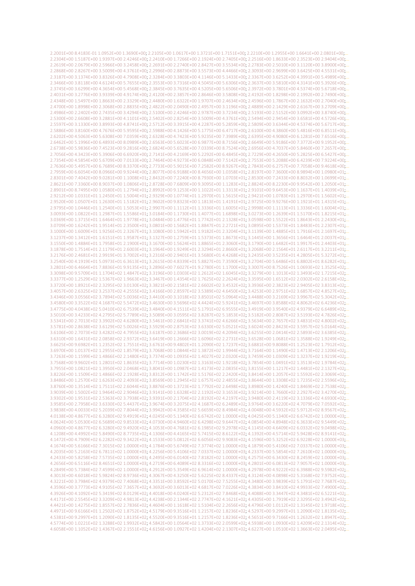2.2001E+00 8.4183E-01 1.0952E+00 1.3690E+00; 2.2105E+00 1.0617E+00 1.3721E+00 1.7151E+00; 2.2210E+00 1.2955E+00 1.6641E+00 2.0801E+00; 2.2304E+00 1.5187E+00 1.9397E+00 2.4246E+00; 2.2410E+00 1.7266E+00 2.1924E+00 2.7405E+00; 2.2516E+00 1.8633E+00 2.3523E+00 2.9404E+00; 2.2619E+00 2.0679E+00 2.5966E+00 3.2458E+00; 2.2691E+00 2.2740E+00 2.8427E+00 3.5534E+00; 2.2783E+00 2.5010E+00 3.1120E+00 3.8900E+00;. 2.2868E+00 2.8267E+00 3.5009E+00 4.3761E+00; 2.2996E+00 2.8873E+00 3.5573E+00 4.4466E+00; 2.3093E+00 2.9699E+00 3.6425E+00 4.5531E+00;.. 2.3187E+00 3.1374E+00 3.8326E+00 4.7908E+00; 2.3284E+00 3.3803E+00 4.1146E+00 5.1433E+00; 2.3367E+00 3.6252E+00 4.3991E+00 5.4989E+00;.. 2.3466E+00 3.8118E+00 4.6124E+00 5.7655E+00; 2.3553E+00 3.7316E+00 4.5045E+00 5.6306E+00; 2.3637E+00 3.5810E+00 4.3141E+00 5.3926E+00;. 2.3745E+00 3.6299E+00 4.3654E+00 5.4568E+00; 2.3845E+00 3.7635E+00 4.5205E+00 5.6506E+00; 2.3972E+00 3.7801E+00 4.5374E+00 5.6718E+00; 2.4031E+00 3.2776E+00 3.9339E+00 4.9174E+00; 2.4120E+00 2.3857E+00 2.8646E+00 3.5808E+00; 2.4192E+00 1.8298E+00 2.1992E+00 2.7490E+00;. 2.4348E+00 1.5497E+00 1.8663E+00 2.3329E+00; 2.4480E+00 1.6322E+00 1.9707E+00 2.4634E+00; 2.4596E+00 1.7867E+00 2.1632E+00 2.7040E+00;.. 2.4700E+00 1.8998E+00 2.3068E+00 2.8835E+00; 2.4822E+00 2.0490E+00 2.4957E+00 3.1196E+00; 2.4889E+00 2.1429E+00 2.6167E+00 3.2709E+00;.. 2.4986E+00 2.2402E+00 2.7435E+00 3.4294E+00; 2.5100E+00 2.4246E+00 2.9787E+00 3.7234E+00; 2.5193E+00 2.5152E+00 3.0992E+00 3.8740E+00;. 2.5300E+00 2.6608E+00 3.2881E+00 4.1101E+00; 2.5402E+00 2.8254E+00 3.5009E+00 4.3761E+00; 2.5494E+00 2.9454E+00 3.6581E+00 4.5726E+00;.. 2.5597E+00 3.1330E+00 3.8993E+00 4.8741E+00; 2.5712E+00 3.3915E+00 4.2287E+00 5.2859E+00; 2.5809E+00 3.6344E+00 4.5374E+00 5.6717E+00;.. 2.5886E+00 3.8160E+00 4.7676E+00 5.9595E+00; 2.5988E+00 4.1426E+00 5.1775E+00 6.4717E+00; 2.6100E+00 4.3860E+00 5.4816E+00 6.8511E+00;.. 2.6202E+00 4.5063E+00 5.6308E+00 7.0359E+00; 2.6328E+00 4.7423E+00 5.9235E+00 7.3989E+00; 2.6395E+00 4.9080E+00 6.1281E+00 7.6516E+00;.. 2.6462E+00 5.1996E+00 6.4893E+00 8.0989E+00; 2.6563E+00 5.6023E+00 6.9877E+00 8.7156E+00; 2.6649E+00 5.9186E+00 7.3772E+00 9.1952E+00;.. 2.6738E+00 5.9836E+00 7.4523E+00 9.2816E+00; 2.6824E+00 5.6528E+00 7.0339E+00 8.7524E+00; 2.6956E+00 4.7037E+00 5.8460E+00 7.2657E+00;.. 2.7056E+00 4.3423E+00 5.3906E+00 6.6920E+00; 2.7141E+00 4.2169E+00 5.2292E+00 6.4845E+00; 2.7229E+00 4.2650E+00 5.2825E+00 6.5427E+00;.. 2.7354E+00 4.5854E+00 5.6709E+00 7.0133E+00; 2.7464E+00 4.9273E+00 6.0848E+00 7.5142E+00; 2.7553E+00 5.2088E+00 6.4239E+00 7.9224E+00;.. 2.7636E+00 5.4957E+00 6.7689E+00 8.3370E+00; 2.7733E+00 5.9015E+00 7.2582E+00 8.9267E+00; 2.7843E+00 6.2757E+00 7.7058E+00 9.4618E+00;.. 2.7959E+00 6.6054E+00 8.0966E+00 9.9244E+00; 2.8077E+00 6.9188E+00 8.4656E+00 1.0358E+01; 2.8197E+00 7.3600E+00 8.9894E+00 1.0980E+01;.. 2.8301E+00 7.4042E+00 9.0281E+00 1.1008E+01; 2.8432E+00 7.2240E+00 8.7930E+00 1.0703E+01; 2.8530E+00 7.2433E+00 8.8032E+00 1.0699E+01;.. 2.8621E+00 7.3360E+00 8.9037E+00 1.0806E+01, 2.8728E+00 7.6809E+00 9.3095E+00 1.1283E+01, 2.8824E+00 8.2230E+00 9.9542E+00 1.2050E+01,... 2.8901E+00 8.7495E+00 1.0580E+01 1.2794E+01: 2.8992E+00 9.1253E+00 1.1022E+01 1.3313E+01: 2.9101E+00 9.6453E+00 1.1637E+01 1.4039E+01: 2.9212E+00 1.0331E+01 1.2450E+01 1.5004E+01; 2.9329E+00 1.0774E+01 1.2970E+01 1.5615E+01; 2.9421E+00 1.0783E+01 1.2970E+01 1.5602E+01;.. 2.9520E+00 1.0507E+01 1.2630E+01 1.5182E+01; 2.9602E+00 9.8323E+00 1.1813E+01 1.4191E+01; 2.9725E+00 9.9276E+00 1.1921E+01 1.4315E+01; 2.9795F+00 1.0446F+01 1.2540F+01 1.5053F+01: 2.9907F+00 1.1112F+01 1.3336F+01 1.6005F+01: 2.9998F+00 1.1113F+01 1.3336F+01 1.6004F+01... 3.0093E+00 1.0822E+01 1.2987E+01 1.5586E+01; 3.0184E+00 1.1730E+01 1.4077E+01 1.6898E+01; 3.0273E+00 1.2639E+01 1.5170E+01 1.8215E+01;.. 3.0369E+00 1.3715E+01 1.6464E+01 1.9778E+01; 3.0484E+00 1.4776E+01 1.7742E+01 2.1328E+01; 3.0598E+00 1.5522E+01 1.8643E+01 2.2430E+01;.. 3.0709E+00 1.6242E+01 1.9514E+01 2.3500E+01; 3.0801E+00 1.5682E+01 1.8847E+01 2.2721E+01; 3.0895E+00 1.5373E+01 1.8483E+01 2.2307E+01;.. 3.1000E+00 1.6009E+01 1.9256E+01 2.3267E+01; 3.1080E+00 1.5942E+01 1.9182E+01 2.3204E+01; 3.1139E+00 1.4885E+01 1.7916E+01 2.1697E+01;.. 3.1237E+00 1.3412E+01 1.6151E+01 1.9587E+01; 3.1327E+00 1.2759E+01 1.5373E+01 1.8673E+01; 3.1445E+00 1.3656E+01 1.6464E+01 2.0037E+01;.. 3.1550E+00 1.4884E+01 1.7958E+01 2.1900E+01; 3.1670E+00 1.5624E+01 1.8865E+01 2.3060E+01; 3.1790E+00 1.6482E+01 1.9917E+01 2.4403E+01;... 3.1878E+00 1.7514E+01 2.1179E+01 2.6003E+01; 3.1964E+00 1.9249E+01 2.3294E+01 2.8660E+01; 3.2068E+00 2.1564E+01 2.6117E+01 3.2211E+01;.. 3.2176E+00 2.4681E+01 2.9919E+01 3.7002E+01; 3.2316E+00 2.9401E+01 3.5680E+01 4.4268E+01; 3.2435E+00 3.5235E+01 4.2805E+01 5.3272E+01;.. 3.2540E+00 4.1919E+01 5.0973E+01 6.3613E+01; 3.2615E+00 4.8339E+01 5.8827E+01 7.3590E+01; 3.2704E+00 5.6486E+01 6.8802E+01 8.6282E+01;.. 3.2801E+00 6.4664E+01 7.8836E+01 9.9135E+01; 3.2896E+00 7.6027E+01 9.2780E+01 1.1700E+02; 3.3007E+00 8.7526E+01 1.0693E+02 1.3525E+02;.. 3.3098E+00 9.5709E+01 1.1704E+02 1.4847E+02; 3.3196E+00 1.0303E+02 1.2612E+02 1.6045E+02; 3.3279E+00 1.1013E+02 1.3493E+02 1.7215E+02;.. 3.3377E+00 1.2529E+02 1.5367E+02 1.9663E+02; 3.3467E+00 1.4354E+02 1.7625E+02 2.2624E+02; 3.3595E+00 1.6512E+02 2.0302E+02 2.6158E+02;.. 3.3720E+00 1.8921E+02 2.3295E+02 3.0130E+02; 3.3821E+00 2.1581E+02 2.6602E+02 3.4532E+02; 3.3936E+00 2.3823E+02 2.9405E+02 3.8313E+02;.. 3.4057E+00 2.6325E+02 3.2537E+02 4.2555E+02; 3.4166E+00 2.8597E+02 3.5389E+02 4.6450E+02; 3.4253E+00 2.9751E+02 3.6857E+02 4.8527E+02;.. 3.4346E+00 3.0556E+02 3.7894E+02 5.0036E+02; 3.4410E+00 3.1018E+02 3.8501E+02 5.0964E+02; 3.4488E+00 3.2169E+02 3.9967E+02 5.3042E+02;.. 3.4580E+00 3.3522E+02 4.1687E+02 5.5472E+02; 3.4630E+00 3.5696E+02 4.4424E+02 5.9241E+02; 3.4697E+00 3.8588E+02 4.8062E+02 6.4236E+02; 3.4775E+00 4.0438E+02 5.0410E+02 6.7539E+02; 3.4840E+00 4.1511E+02 5.1791E+02 6.9555E+02; 3.4919E+00 3.9540E+02 4.9379E+02 6.6489E+02;.. 3.5010E+00 3.4233E+02 4.2795E+02 5.7789E+02; 3.5089E+00 3.0595E+02 3.8287E+02 5.1853E+02; 3.5182E+00 2.8087E+02 3.5193E+02 4.7826E+02;.. 3.5341E+00 2.7013E+02 3.3902E+02 4.6280E+02; 3.5461E+00 2.6841E+02 3.3741E+02 4.6266E+02; 3.5634E+00 2.7657E+02 3.4831E+02 4.8002E+02;.. 3.5781E+00 2.8638E+02 3.6129E+02 5.0026E+02; 3.5929E+00 2.8753E+02 3.6330E+02 5.0521E+02; 3.6024E+00 2.8423E+02 3.5957E+02 5.0164E+02;.. 3.6106E+00 2.7073E+02 3.4282E+02 4.7955E+02; 3.6187E+00 2.3686E+02 3.0019E+02 4.2094E+02; 3.6255E+00 2.0414E+02 2.5893E+02 3.6385E+02;.. 3.6310E+00 1.6431E+02 2.0858E+02 2.9372E+02; 3.6419E+00 1.2666E+02 1.6096E+02 2.2731E+02; 3.6528E+00 1.0681E+02 1.3588E+02 1.9249E+02; 3.6625E+00 9.6982E+01 1.2352E+02 1.7551E+02; 3.6761E+00 9.4802E+01 1.2090E+02 1.7237E+02; 3.6881E+00 9.8088E+01 1.2523E+02 1.7912E+02;.. 3.6970E+00 1.0137E+02 1.2955E+02 1.8579E+02; 3.7068E+00 1.0844E+02 1.3872E+02 1.9944E+02; 3.7164E+00 1.1490E+02 1.4713E+02 2.1206E+02;.. 3.7263E+00 1.1599E+02 1.4866E+02 2.1480E+02; 3.7374E+00 1.0935E+02 1.4027E+02 2.0320E+02; 3.7459E+00 1.0309E+02 1.3237E+02 1.9219E+02;.. 3.7568E+00 9.9602E+01 1.2801E+02 1.8635E+02; 3.7714E+00 1.0230E+02 1.3163E+02 1.9218E+02; 3.7854E+00 1.0491E+02 1.3513E+02 1.9784E+02;.. 3.7955E+00 1.0821E+02 1.3950E+02 2.0468E+02; 3.8041E+00 1.0987E+02 1.4173E+02 2.0835E+02; 3.8155E+00 1.1217E+02 1.4481E+02 2.1327E+02;.. 3.8226E+00 1.1509E+02 1.4866E+02 2.1928E+02; 3.8312E+00 1.1742E+02 1.5176E+02 2.2420E+02; 3.8414E+00 1.2057E+02 1.5592E+02 2.3069E+02;.. 3.8486E+00 1.2570E+02 1.6263E+02 2.4093E+02; 3.8569E+00 1.2945E+02 1.6757E+02 2.4855E+02; 3.8644E+00 1.3308E+02 1.7235E+02 2.5596E+02;.. 3.8760E+00 1.3514E+02 1.7511E+02 2.6044E+02; 3.8876E+00 1.3723E+02 1.7792E+02 2.6498E+02; 3.8980E+02 1.4240E+02 1.8469E+02 2.7538E+02;.. 3.9039E+00 1.5002E+02 1.9464E+02 2.9046E+02; 3.9141E+00 1.6328E+02 2.1192E+02 3.1653E+02; 3.9214E+00 1.7660E+02 2.2927E+02 3.4270E+02;.. 3.9302E+00 1.9531E+02 2.5363E+02 3.7938E+02; 3.9391E+00 2.1704E+02 2.8192E+02 4.2197E+02; 3.9480E+00 2.4119E+02 3.1336E+02 4.6930E+02;.. 3.9585E+00 2.7958E+02 3.6330E+02 5.4437E+02; 3.9674E+00 3.2075E+02 4.1687E+02 6.2489E+02; 3.9764E+00 3.6220E+02 4.7079E+02 7.0592E+02;.. 3.9838E+00 4.0033E+02 5.2039E+02 7.8044E+02; 3.9942E+00 4.3585E+02 5.6659E+02 8.4984E+02; 4.0048E+00 4.5932E+02 5.9712E+02 8.9567E+02;.. 4.0138E+00 4.8677E+02 6.3280E+02 9.4919E+02; 4.0245E+00 5.1340E+02 6.6742E+02 1.0000E+03; 4.0425E+00 5.1340E+02 6.6742E+02 1.0000E+03;.. 4.0624E+00 5.0530E+02 6.5689E+02 9.8533E+02; 4.0730E+00 4.9460E+02 6.4298E+02 9.6447E+02; 4.0854E+00 4.8948E+02 6.3633E+02 9.5449E+02;.. 4.0960E+00 4.8677E+02 6.3280E+02 9.4920E+02; 4.1053E+00 4.7681E+02 6.1985E+02 9.2978E+02; 4.1145E+00 4.6409E+02 6.0332E+02 9.0498E+02;.. 4.1208E+00 4.4992E+02 5.8490E+02 8.7735E+02; 4.1306E+00 4.4165E+02 5.7415E+02 8.6122E+02; 4.1392E+00 4.5714E+02 5.9428E+02 8.9141E+02;.. 4.1472E+00 4.7909E+02 6.2282E+02 9.3422E+02; 4.1533E+00 5.0812E+02 6.6056E+02 9.9083E+02; 4.1596E+00 5.3252E+02 6.9228E+02 1.0000E+03;.. 4.1674E+00 5.6166E+02 7.3015E+02 1.0000E+03; 4.1784E+00 5.6749E+02 7.3774E+02 1.0000E+03; 4.1879E+00 5.4106E+02 7.0337E+02 1.0000E+03;.. 4.2035E+00 5.2163E+02 6.7811E+02 1.0000E+03; 4.2256E+00 5.4106E+02 7.0337E+02 1.0000E+03; 4.2337E+00 5.5854E+02 7.2610E+02 1.0000E+03; 4.2433E+00 5.8258E+02 7.5735E+02 1.0000E+03; 4.2495E+00 6.0140E+02 7.8182E+02 1.0000E+03; 4.2575E+00 6.3430E+02 8.2459E+02 1.0000E+03;.. 4.2656E+00 6.5116E+02 8.4651E+02 1.0000E+03; 4.2719E+00 6.4089E+02 8.3316E+02 1.0000E+03; 4.2801E+00 6.0813E+02 7.9057E+02 1.0000E+03;.. 4.2849E+00 5.7384E+02 7.4599E+02 1.0000E+03; 4.2912E+00 5.3549E+02 6.9614E+02 1.0000E+03; 4.2978E+00 4.9222E+02 6.3988E+02 9.5982E+02;.. 4.3013E+00 4.6018E+02 5.9824E+02 8.9736E+02 4.3067E+00 4.3250E+02 5.6225E+02 8.4337E+02; 4.3124E+00 4.0898E+02 5.3168E+02 7.9752E+02;.. 4.3221E+00 3.7984E+02 4.9379E+02 7.4068E+02; 4.3351E+00 3.8592E+02 5.0170E+02 7.5255E+02; 4.3480E+00 3.9839E+02 5.1791E+02 7.7687E+02;.. 4.3596E+00 3.7773E+02 4.9105E+02 7.3657E+02; 4.3692E+00 3.6013E+02 4.6817E+02 7.0226E+02; 4.3834E+00 3.8410E+02 4.9933E+02 7.4900E+02; 4.3926E+00 4.1092E+02 5.3419E+02 8.0129E+02; 4.4018E+00 4.0240E+02 5.2312E+02 7.8468E+02; 4.4088E+00 3.3447E+02 4.3481E+02 6.5221E+02;.. 4.4171E+00 2.5545E+02 3.3209E+02 4.9813E+02; 4.4238E+00 2.1344E+02 2.7747E+02 4.1621E+02; 4.4305E+00 1.7919E+02 2.3295E+02 3.4942E+02;.. 4.4421E+00 1.4275E+02 1.8557E+02 2.7836E+02; 4.4604E+00 1.1618E+02 1.5104E+02 2.2656E+02; 4.4796E+00 1.0112E+02 1.3145E+02 1.9718E+02;.. 4.4971E+00 9.6166E+01 1.2502E+02 1.8752E+02; 4.5179E+00 9.3516E+01 1.2157E+02 1.8236E+02; 4.5297E+00 9.2997E+01 1.2090E+02 1.8135E+02;.. 4.5381E+00 9.2997E+01 1.2090E+02 1.8135E+02; 4.5520E+00 9.3516E+01 1.2157E+02 1.8236E+02; 4.5651E+00 9.7166E+01 1.2632E+02 1.8947E+02;.. 4.5774E+00 1.0221E+02 1.3288E+02 1.9932E+02; 4.5842E+00 1.0564E+02 1.3733E+02 2.0599E+02; 4.5938E+00 1.0930E+02 1.4209E+02 2.1314E+02;.. 4.6058E+00 1.1052E+02 1.4367E+02 2.1551E+02; 4.6156E+00 1.0927E+02 1.4204E+02 2.1307E+02; 4.6227E+00 1.0510E+02 1.3663E+02 2.0495E+02;..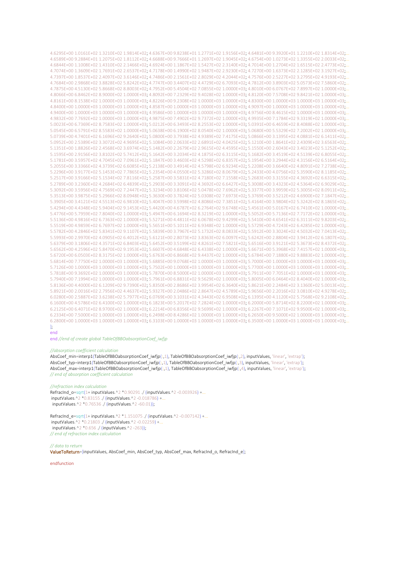4.6295E+00 1.0161E+02 1.3210E+02 1.9814E+02; 4.6367E+00 9.8238E+01 1.2771E+02 1.9156E+02; 4.6481E+00 9.3920E+01 1.2210E+02 1.8314E+02;.. 4.6589E+00 9.2884E+01 1.2075E+02 1.8112E+02; 4.6688E+00 9.7666E+01 1.2697E+02 1.9045E+02; 4.6754E+00 1.0273E+02 1.3355E+02 2.0033E+02;.. 4.6844E+00 1.1008E+02 1.4310E+02 2.1466E+02; 4.6924E+00 1.1867E+02 1.5427E+02 2.3140E+02; 4.7014E+00 1.2704E+02 1.6515E+02 2.4773E+02;.. 4.7074E+00 1.3609E+02 1.7691E+02 2.6537E+02; 4.7178E+00 1.4990E+02 1.9487E+02 2.9230E+02; 4.7270E+00 1.6373E+02 2.1285E+02 3.1927E+02;.. 4.7397E+00 1.8537E+02 2.4097E+02 3.6146E+02; 4.7486E+00 2.1561E+02 2.8029E+02 4.2044E+02; 4.7576E+00 2.5227E+02 3.2795E+02 4.9193E+02;.. 4.7684E+00 2.9868E+02 3.8828E+02 5.8242E+02 4.7747E+00 3.4407E+02 4.4729E+02 6.7093E+02 4.7812E+00 3.8903E+02 5.0573E+02 7.5860E+02; 4.7875E+00 4.5130E+02 5.8668E+02 8.8003E+02; 4.7952E+00 5.4504E+02 7.0855E+02 1.0000E+03; 4.8010E+00 6.0767E+02 7.8997E+02 1.0000E+03;.. 4.8066E+00 6.8462E+02 8.9000E+02 1.0000E+03; 4.8092E+00 7.2329E+02 9.4028E+02 1.0000E+03; 4.8120E+00 7.5708E+02 9.8421E+02 1.0000E+03;.. 4.8161E+00 8.1538E+02 1.0000E+03 1.0000E+03; 4.8226E+00 9.2308E+02 1.0000E+03 1.0000E+03; 4.8300E+00 1.0000E+03 1.0000E+03 1.0000E+03; 4.8400E+00 1.0000E+03 1.0000E+03 1.0000E+03; 4.8587E+00 1.0000E+03 1.0000E+03 1.0000E+03; 4.9097E+00 1.0000E+03 1.0000E+03 1.0000E+03;.. 4.9400E+00 1.0000E+03 1.0000E+03 1.0000E+03; 4.9586E+00 1.0000E+03 1.0000E+03 1.0000E+03; 4.9756E+00 8.4615E+02 1.0000E+03 1.0000E+03;.. 4.9832E+00 7.7692E+02 1.0000E+03 1.0000E+03; 4.9875E+00 7.4902E+02 9.7372E+02 1.0000E+03; 4.9935E+00 7.1784E+02 9.3319E+02 1.0000E+03;.. 5.0023E+00 6.7369E+02 8.7583E+02 1.0000E+03; 5.0212E+00 6.3493E+02 8.2553E+02 1.0000E+03; 5.0391E+00 6.4659E+02 8.4088E+02 1.0000E+03;.. 5.0645E+00 6.5791E+02 8.5583E+02 1.0000E+03; 5.0638E+00 6.1900E+02 8.0540E+02 1.0000E+03; 5.0680E+00 5.5329E+02 7.2002E+02 1.0000E+03;.. 5.0739E+00 4.7401E+02 6.1696E+02 9.2640E+02; 5.0800E+00 3.7938E+02 4.9389E+02 7.4175E+02; 5.0866E+00 3.1395E+02 4.0881E+02 6.1411E+02;.. 5.0952E+00 2.5389E+02 3.3072E+02 4.9695E+02; 5.1084E+00 2.0633E+02 2.6891E+02 4.0425E+02; 5.1210E+00 1.8641E+02 2.4309E+02 3.6563E+02;.. 5.1351E+00 1.8826E+02 2.4568E+02 3.6974E+02; 5.1482E+00 2.2679E+02 2.9615E+02 4.4595E+02; 5.1550E+00 2.6043E+02 3.4023E+02 5.1252E+02;.. 5.1595E+00 2.9156E+02 3.8102E+02 5.7412E+02; 5.1642E+00 3.2034E+02 4.1875E+02 6.3115E+02; 5.1682E+00 3.4519E+02 4.5139E+02 6.8055E+02;.. 5.1781E+00 3.5957E+02 4.7045E+02 7.0961E+02; 5.1847E+00 3.4603E+02 4.5298E+02 6.8357E+02; 5.1954E+00 3.2944E+02 4.3156E+02 6.5164E+02;.. 5.2055E+00 3.3366E+02 4.3739E+02 6.6085E+02; 5.2138E+00 3.4914E+02 4.5798E+02 6.9234E+02; 5.2208E+00 3.6640E+02 4.8091E+02 7.2738E+02;.. 5.2296E+00 3.9177E+02 5.1453E+02 7.7865E+02; 5.2354E+00 4.0550E+02 5.3286E+02 8.0679E+02; 5.2433E+00 4.0756E+02 5.3590E+02 8.1185E+02;.. 5.2517E+00 3.9166E+02 5.1534E+02 7.8116E+02; 5.2587E+00 3.5831E+02 4.7180E+02 7.1558E+02; 5.2683E+00 3.3155E+02 4.3692E+02 6.6315E+02;.. 5.2789E+00 3.2360E+02 4.2684E+02 6.4839E+02; 5.2903E+00 3.3091E+02 4.3692E+02 6.6427E+02; 5.3008E+00 3.4323E+02 4.5364E+02 6.9029E+02;.. 5.3092E+00 3.5956E+02 4.7569E+02 7.2447E+02; 5.3234E+00 3.8106E+02 5.0478E+02 7.6962E+02; 5.3377E+00 3.9959E+02 5.3005E+02 8.0911E+02. 5.3513E+00 3.9875E+02 5.2966E+02 8.0948E+02; 5.3630E+00 3.7824E+02 5.0308E+02 7.6973E+02; 5.3769E+00 3.5212E+02 4.6900E+02 7.1847E+02;.. 5.3905E+00 3.4121E+02 4.5513E+02 6.9810E+02; 5.4047E+00 3.5998E+02 4.8086E+02 7.3851E+02; 5.4164E+00 3.9804E+02 5.3242E+02 8.1865E+02;.. 5.4294E+00 4.4348E+02 5.9404E+02 9.1453E+02; 5.4420E+00 4.6787E+02 6.2764E+02 9.6748E+02; 5.4561E+00 5.0167E+02 6.7410E+02 1.0000E+03. 5.4776E+00 5.7959E+02 7.8040E+02 1.0000E+03; 5.4947E+00 6.1694E+02 8.3219E+02 1.0000E+03; 5.5052E+00 5.7136E+02 7.7172E+02 1.0000E+03;.. 5.5136F+00 4.9816F+02 6.7363F+02 1.0000F+03: 5.5271F+00 4.4811F+02 6.0678F+02 9.4299F+02: 5.5410F+00 4.6541F+02 6.3111F+02 9.8203F+02. 5.5519E+00 4.9859E+02 6.7697E+02 1.0000E+03; 5.5651E+00 5.1011E+02 6.9348E+02 1.0000E+03; 5.5729E+00 4.7243E+02 6.4285E+02 1.0000E+03;.. 5.5782E+00 4.2846E+02 5.8341E+02 9.1107E+02; 5.5839E+00 3.7967E+02 5.1732E+02 8.0833E+02; 5.5912E+00 3.3024E+02 4.5032E+02 7.0413E+02;.. 5.5993E+00 2.9970E+02 4.0905E+02 6.4012E+02; 5.6121E+00 2.8073E+02 3.8363E+02 6.0097E+02; 5.6242E+00 2.8804E+02 3.9412E+02 6.1807E+02; 5.6379E+00 3.1806E+02 4.3571E+02 6.8403E+02; 5.6452E+00 3.5199E+02 4.8261E+02 7.5821E+02; 5.6516E+00 3.9121E+02 5.3673E+02 8.4372E+02;.. 5.6562E+00 4.2596E+02 5.8470E+02 9.1953E+02; 5.6607E+00 4.6848E+02 6.4338E+02 1.0000E+03; 5.6671E+00 5.3968E+02 7.4157E+02 1.0000E+03;.. 5.6720E+00 6.0503E+02 8.3175E+02 1.0000E+03; 5.6763E+00 6.8668E+02 9.4437E+02 1.0000E+03; 5.6784E+00 7.1880E+02 9.8883E+02 1.0000E+03;.. 5.6814E+00 7.7750E+02 1.0000E+03 1.0000E+03; 5.6885E+00 9.0768E+02 1.0000E+03 1.0000E+03; 5.7000E+00 1.0000E+03 1.0000E+03 1.0000E+03;.. 5.7126E+00 1.0000E+03 1.0000E+03 1.0000E+03; 5.7502E+00 1.0000E+03 1.0000E+03 1.0000E+03; 5.7700E+00 1.0000E+03 1.0000E+03 1.0000E+03;.. 5.7818E+00 9.3692E+02 1.0000E+03 1.0000E+03; 5.7870E+00 8.5000E+02 1.0000E+03 1.0000E+03; 5.7911E+00 7.7051E+02 1.0000E+03 1.0000E+03;.. 5.7940E+00 7.1994E+02 1.0000E+03 1.0000E+03; 5.7961E+00 6.8831E+02 9.5629E+02 1.0000E+03; 5.8005E+00 6.0464E+02 8.4040E+02 1.0000E+03;.. 5.8136E+00 4.4000E+02 6.1209E+02 9.7390E+02; 5.8350E+00 2.8686E+02 3.9954E+02 6.3640E+02; 5.8621E+00 2.2484E+02 3.1360E+02 5.0013E+02;.. 5.8921E+00 2.0016E+02 2.7956E+02 4.4637E+02; 5.9327E+00 2.0486E+02 2.8647E+02 4.5789E+02; 5.9656E+00 2.2016E+02 3.0810E+02 4.9278E+02;.. 6.0280E+00 2.5887E+02 3.6238E+02 5.7977E+02; 6.0769E+00 3.1031E+02 4.3443E+02 6.9508E+02; 6.1395E+00 4.1120E+02 5.7568E+02 9.2108E+02;.. 6.1600E+00 4.5786E+02 6.4100E+02 1.0000E+03; 6.1823E+00 5.2017E+02 7.2824E+02 1.0000E+03; 6.2000E+00 5.8714E+02 8.2200E+02 1.0000E+03;.. 6.2125E+00 6.4071E+02 8.9700E+02 1.0000E+03; 6.2214E+00 6.8356E+02 9.5699E+02 1.0000E+03; 6.2267E+00 7.1071E+02 9.9500E+02 1.0000E+03;.. 6.2334E+00 7.5000E+02 1.0000E+03 1.0000E+03; 6.2498E+00 8.4286E+02 1.0000E+03 1.0000E+03; 6.2650E+00 9.5000E+02 1.0000E+03 1.0000E+03; 6.2800E+00 1.0000E+03 1.0000E+03 1.0000E+03; 6.3103E+00 1.0000E+03 1.0000E+03 1.0000E+03; 6.3500E+00 1.0000E+03 1.0000E+03 1.0000E+03; .. h.

end

end //end of create global TableOfBBOabsorptionCoef\_iwfjp

#### //absorption coefficient calculation

AbsCoef\_min=interp1(TableOfBBOabsorptionCoef\_iwfjp(:,1), TableOfBBOabsorptionCoef\_iwfjp(:,2), inputValues, 'linear', 'extrap'); AbsCoef\_typ=interp1(TableOfBBOabsorptionCoef\_iwfjp(:,1), TableOfBBOabsorptionCoef\_iwfjp(:,3), inputValues, 'linear', 'extrap'); AbsCoef\_max=interp1(TableOfBBOabsorptionCoef\_iwfjp(:,1), TableOfBBOabsorptionCoef\_iwfjp(:,4), inputValues, 'linear', 'extrap'); // end of absorption coefficient calculation

#### //refraction index calculation

RefracInd\_o=sqrt(1+inputValues.^2 \*0.90291 ./ (inputValues.^2 -0.003926) +... inputValues.^2 \*0.83155 ./ (inputValues.^2 -0.018786) +... inputValues.^2 \*0.76536 ./ (inputValues.^2 -60.01));

RefracInd\_e=sqrt(1+inputValues.^2 \*1.151075 ./ (inputValues.^2 -0.007142) +... inputValues.^2 \*0.21803 ./ (inputValues.^2 -0.02259) +... inputValues.^2 \*0.656 / (inputValues.^2 -263)); // end of refraction index calculation

/ data to return ValueToReturn=[inputValues, AbsCoef\_min, AbsCoef\_typ, AbsCoef\_max, RefracInd\_o, RefracInd\_e];

endfunction